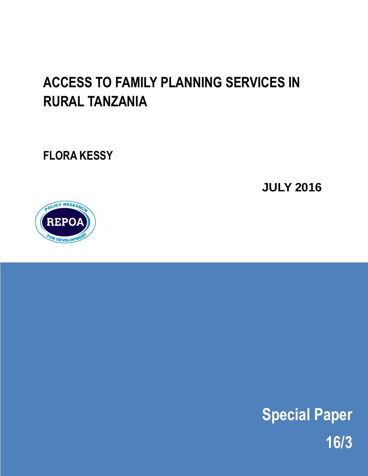# **ACCESS TO FAMILY PLANNING SERVICES IN RURAL TANZANIA**

**FLORA KESSY**

**JULY 2016**



**Special Paper 16/3**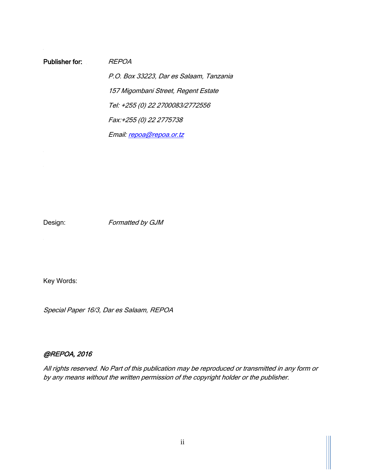Publisher for: REPOA P.O. Box 33223, Dar es Salaam, Tanzania 157 Migombani Street, Regent Estate Tel: +255 (0) 22 2700083/2772556 Fax:+255 (0) 22 2775738 Email[: repoa@repoa.or.tz](mailto:repoa@repoa.or.tz)

Design: Formatted by GJM

Key Words:

Special Paper 16/3, Dar es Salaam, REPOA

#### @REPOA, 2016

All rights reserved. No Part of this publication may be reproduced or transmitted in any form or by any means without the written permission of the copyright holder or the publisher.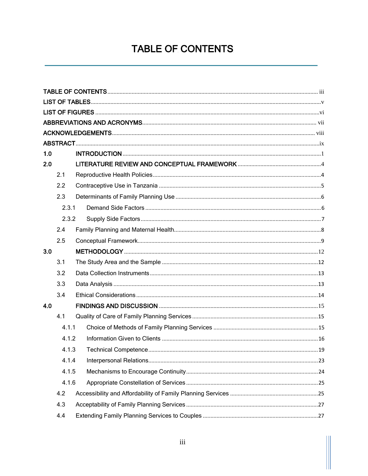## **TABLE OF CONTENTS**

<span id="page-2-0"></span>

| 1.0 |       |  |  |
|-----|-------|--|--|
| 2.0 |       |  |  |
|     | 2.1   |  |  |
|     | 2.2   |  |  |
|     | 2.3   |  |  |
|     | 2.3.1 |  |  |
|     | 2.3.2 |  |  |
|     | 2.4   |  |  |
|     | 2.5   |  |  |
| 3.0 |       |  |  |
|     | 3.1   |  |  |
|     | 3.2   |  |  |
|     | 3.3   |  |  |
|     | 3.4   |  |  |
| 4.0 |       |  |  |
|     | 4.1   |  |  |
|     | 4.1.1 |  |  |
|     | 4.1.2 |  |  |
|     | 4.1.3 |  |  |
|     | 4.1.4 |  |  |
|     | 4.1.5 |  |  |
|     | 4.1.6 |  |  |
|     | 4.2   |  |  |
|     | 4.3   |  |  |
|     | 4.4   |  |  |
|     |       |  |  |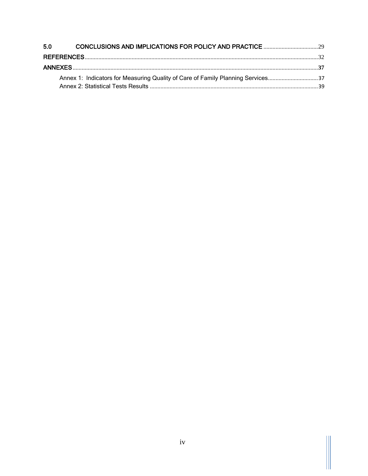| 5.0 |                                                                                 |  |
|-----|---------------------------------------------------------------------------------|--|
|     |                                                                                 |  |
|     |                                                                                 |  |
|     | Annex 1: Indicators for Measuring Quality of Care of Family Planning Services37 |  |
|     |                                                                                 |  |

 $\mathbb{H}$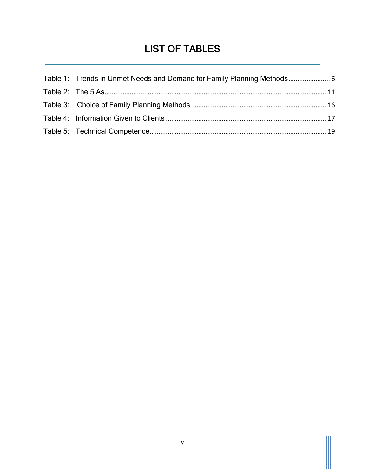## LIST OF TABLES

<span id="page-4-0"></span>

| Table 1: Trends in Unmet Needs and Demand for Family Planning Methods |  |
|-----------------------------------------------------------------------|--|
|                                                                       |  |
|                                                                       |  |
|                                                                       |  |
|                                                                       |  |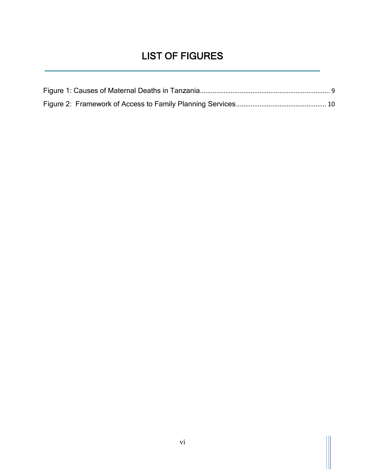## LIST OF FIGURES

<span id="page-5-0"></span>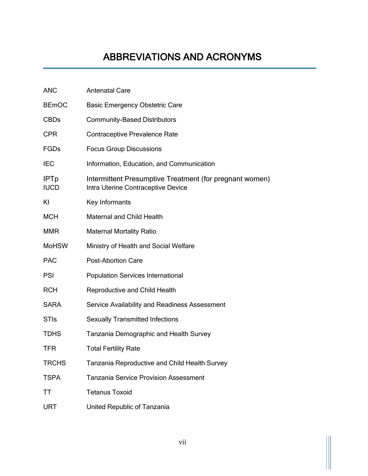<span id="page-6-0"></span>

| <b>ANC</b>                 | <b>Antenatal Care</b>                                                                         |
|----------------------------|-----------------------------------------------------------------------------------------------|
| <b>BEmOC</b>               | <b>Basic Emergency Obstetric Care</b>                                                         |
| <b>CBDs</b>                | <b>Community-Based Distributors</b>                                                           |
| <b>CPR</b>                 | <b>Contraceptive Prevalence Rate</b>                                                          |
| <b>FGDs</b>                | <b>Focus Group Discussions</b>                                                                |
| <b>IEC</b>                 | Information, Education, and Communication                                                     |
| <b>IPTp</b><br><b>IUCD</b> | Intermittent Presumptive Treatment (for pregnant women)<br>Intra Uterine Contraceptive Device |
| KI                         | Key Informants                                                                                |
| <b>MCH</b>                 | <b>Maternal and Child Health</b>                                                              |
| <b>MMR</b>                 | <b>Maternal Mortality Ratio</b>                                                               |
| <b>MoHSW</b>               | Ministry of Health and Social Welfare                                                         |
| <b>PAC</b>                 | <b>Post-Abortion Care</b>                                                                     |
| <b>PSI</b>                 | <b>Population Services International</b>                                                      |
| <b>RCH</b>                 | Reproductive and Child Health                                                                 |
| <b>SARA</b>                | Service Availability and Readiness Assessment                                                 |
| <b>STIs</b>                | <b>Sexually Transmitted Infections</b>                                                        |
| <b>TDHS</b>                | Tanzania Demographic and Health Survey                                                        |
| <b>TFR</b>                 | <b>Total Fertility Rate</b>                                                                   |
| <b>TRCHS</b>               | <b>Tanzania Reproductive and Child Health Survey</b>                                          |
| <b>TSPA</b>                | <b>Tanzania Service Provision Assessment</b>                                                  |
| ΤT                         | <b>Tetanus Toxoid</b>                                                                         |
| <b>URT</b>                 | United Republic of Tanzania                                                                   |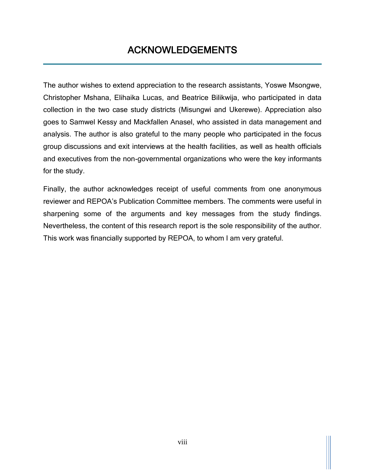### ACKNOWLEDGEMENTS

<span id="page-7-0"></span>The author wishes to extend appreciation to the research assistants, Yoswe Msongwe, Christopher Mshana, Elihaika Lucas, and Beatrice Bilikwija, who participated in data collection in the two case study districts (Misungwi and Ukerewe). Appreciation also goes to Samwel Kessy and Mackfallen Anasel, who assisted in data management and analysis. The author is also grateful to the many people who participated in the focus group discussions and exit interviews at the health facilities, as well as health officials and executives from the non-governmental organizations who were the key informants for the study.

Finally, the author acknowledges receipt of useful comments from one anonymous reviewer and REPOA's Publication Committee members. The comments were useful in sharpening some of the arguments and key messages from the study findings. Nevertheless, the content of this research report is the sole responsibility of the author. This work was financially supported by REPOA, to whom I am very grateful.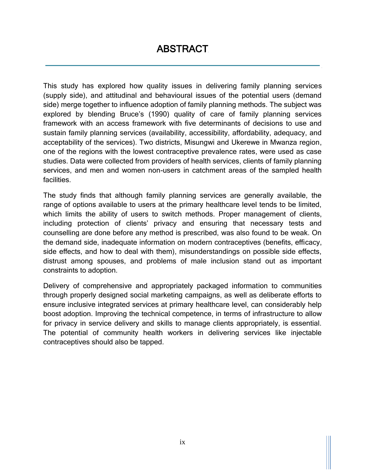<span id="page-8-0"></span>This study has explored how quality issues in delivering family planning services (supply side), and attitudinal and behavioural issues of the potential users (demand side) merge together to influence adoption of family planning methods. The subject was explored by blending Bruce's (1990) quality of care of family planning services framework with an access framework with five determinants of decisions to use and sustain family planning services (availability, accessibility, affordability, adequacy, and acceptability of the services). Two districts, Misungwi and Ukerewe in Mwanza region, one of the regions with the lowest contraceptive prevalence rates, were used as case studies. Data were collected from providers of health services, clients of family planning services, and men and women non-users in catchment areas of the sampled health facilities.

The study finds that although family planning services are generally available, the range of options available to users at the primary healthcare level tends to be limited, which limits the ability of users to switch methods. Proper management of clients, including protection of clients' privacy and ensuring that necessary tests and counselling are done before any method is prescribed, was also found to be weak. On the demand side, inadequate information on modern contraceptives (benefits, efficacy, side effects, and how to deal with them), misunderstandings on possible side effects, distrust among spouses, and problems of male inclusion stand out as important constraints to adoption.

Delivery of comprehensive and appropriately packaged information to communities through properly designed social marketing campaigns, as well as deliberate efforts to ensure inclusive integrated services at primary healthcare level, can considerably help boost adoption. Improving the technical competence, in terms of infrastructure to allow for privacy in service delivery and skills to manage clients appropriately, is essential. The potential of community health workers in delivering services like injectable contraceptives should also be tapped.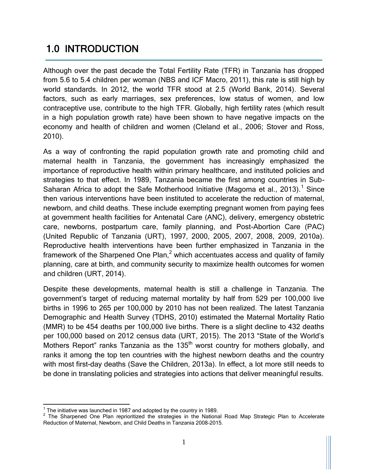## <span id="page-9-0"></span>1.0 INTRODUCTION

Although over the past decade the Total Fertility Rate (TFR) in Tanzania has dropped from 5.6 to 5.4 children per woman (NBS and ICF Macro, 2011), this rate is still high by world standards. In 2012, the world TFR stood at 2.5 (World Bank, 2014). Several factors, such as early marriages, sex preferences, low status of women, and low contraceptive use, contribute to the high TFR. Globally, high fertility rates (which result in a high population growth rate) have been shown to have negative impacts on the economy and health of children and women (Cleland et al., 2006; Stover and Ross, 2010).

As a way of confronting the rapid population growth rate and promoting child and maternal health in Tanzania, the government has increasingly emphasized the importance of reproductive health within primary healthcare, and instituted policies and strategies to that effect. In 1989, Tanzania became the first among countries in Sub-Saharan Africa to adopt the Safe Motherhood Initiative (Magoma et al., 2013).<sup>1</sup> Since then various interventions have been instituted to accelerate the reduction of maternal, newborn, and child deaths. These include exempting pregnant women from paying fees at government health facilities for Antenatal Care (ANC), delivery, emergency obstetric care, newborns, postpartum care, family planning, and Post-Abortion Care (PAC) (United Republic of Tanzania (URT), 1997, 2000, 2005, 2007, 2008, 2009, 2010a). Reproductive health interventions have been further emphasized in Tanzania in the framework of the Sharpened One Plan, $<sup>2</sup>$  which accentuates access and quality of family</sup> planning, care at birth, and community security to maximize health outcomes for women and children (URT, 2014).

Despite these developments, maternal health is still a challenge in Tanzania. The government's target of reducing maternal mortality by half from 529 per 100,000 live births in 1996 to 265 per 100,000 by 2010 has not been realized. The latest Tanzania Demographic and Health Survey (TDHS, 2010) estimated the Maternal Mortality Ratio (MMR) to be 454 deaths per 100,000 live births. There is a slight decline to 432 deaths per 100,000 based on 2012 census data (URT, 2015). The 2013 "State of the World's Mothers Report" ranks Tanzania as the  $135<sup>th</sup>$  worst country for mothers globally, and ranks it among the top ten countries with the highest newborn deaths and the country with most first-day deaths (Save the Children, 2013a). In effect, a lot more still needs to be done in translating policies and strategies into actions that deliver meaningful results.

 $\frac{1}{1}$  The initiative was launched in 1987 and adopted by the country in 1989.

<sup>&</sup>lt;sup>2</sup> The Sharpened One Plan reprioritized the strategies in the National Road Map Strategic Plan to Accelerate Reduction of Maternal, Newborn, and Child Deaths in Tanzania 2008–2015.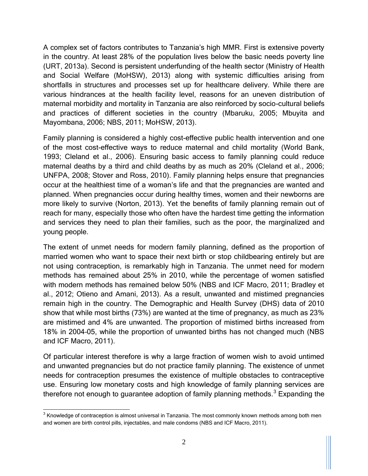A complex set of factors contributes to Tanzania's high MMR. First is extensive poverty in the country. At least 28% of the population lives below the basic needs poverty line (URT, 2013a). Second is persistent underfunding of the health sector (Ministry of Health and Social Welfare (MoHSW), 2013) along with systemic difficulties arising from shortfalls in structures and processes set up for healthcare delivery. While there are various hindrances at the health facility level, reasons for an uneven distribution of maternal morbidity and mortality in Tanzania are also reinforced by socio-cultural beliefs and practices of different societies in the country (Mbaruku, 2005; Mbuyita and Mayombana, 2006; NBS, 2011; MoHSW, 2013).

Family planning is considered a highly cost-effective public health intervention and one of the most cost-effective ways to reduce maternal and child mortality (World Bank, 1993; Cleland et al., 2006). Ensuring basic access to family planning could reduce maternal deaths by a third and child deaths by as much as 20% (Cleland et al., 2006; UNFPA, 2008; Stover and Ross, 2010). Family planning helps ensure that pregnancies occur at the healthiest time of a woman's life and that the pregnancies are wanted and planned. When pregnancies occur during healthy times, women and their newborns are more likely to survive (Norton, 2013). Yet the benefits of family planning remain out of reach for many, especially those who often have the hardest time getting the information and services they need to plan their families, such as the poor, the marginalized and young people.

The extent of unmet needs for modern family planning, defined as the proportion of married women who want to space their next birth or stop childbearing entirely but are not using contraception, is remarkably high in Tanzania. The unmet need for modern methods has remained about 25% in 2010, while the percentage of women satisfied with modern methods has remained below 50% (NBS and ICF Macro, 2011; Bradley et al., 2012; Otieno and Amani, 2013). As a result, unwanted and mistimed pregnancies remain high in the country. The Demographic and Health Survey (DHS) data of 2010 show that while most births (73%) are wanted at the time of pregnancy, as much as 23% are mistimed and 4% are unwanted. The proportion of mistimed births increased from 18% in 2004–05, while the proportion of unwanted births has not changed much (NBS and ICF Macro, 2011).

Of particular interest therefore is why a large fraction of women wish to avoid untimed and unwanted pregnancies but do not practice family planning. The existence of unmet needs for contraception presumes the existence of multiple obstacles to contraceptive use. Ensuring low monetary costs and high knowledge of family planning services are therefore not enough to quarantee adoption of family planning methods.<sup>3</sup> Expanding the

<sup>&</sup>lt;u>3</u><br><sup>3</sup> Knowledge of contraception is almost universal in Tanzania. The most commonly known methods among both men and women are birth control pills, injectables, and male condoms (NBS and ICF Macro, 2011).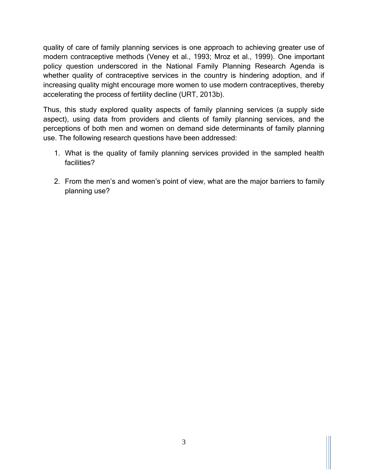quality of care of family planning services is one approach to achieving greater use of modern contraceptive methods (Veney et al., 1993; Mroz et al., 1999). One important policy question underscored in the National Family Planning Research Agenda is whether quality of contraceptive services in the country is hindering adoption, and if increasing quality might encourage more women to use modern contraceptives, thereby accelerating the process of fertility decline (URT, 2013b).

Thus, this study explored quality aspects of family planning services (a supply side aspect), using data from providers and clients of family planning services, and the perceptions of both men and women on demand side determinants of family planning use. The following research questions have been addressed:

- 1. What is the quality of family planning services provided in the sampled health facilities?
- 2. From the men's and women's point of view, what are the major barriers to family planning use?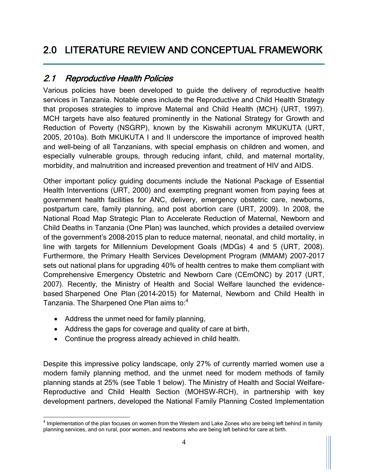## <span id="page-12-0"></span>2.0 LITERATURE REVIEW AND CONCEPTUAL FRAMEWORK

#### <span id="page-12-1"></span>2.1 Reproductive Health Policies

Various policies have been developed to guide the delivery of reproductive health services in Tanzania. Notable ones include the Reproductive and Child Health Strategy that proposes strategies to improve Maternal and Child Health (MCH) (URT, 1997). MCH targets have also featured prominently in the National Strategy for Growth and Reduction of Poverty (NSGRP), known by the Kiswahili acronym MKUKUTA (URT, 2005, 2010a). Both MKUKUTA I and II underscore the importance of improved health and well-being of all Tanzanians, with special emphasis on children and women, and especially vulnerable groups, through reducing infant, child, and maternal mortality, morbidity, and malnutrition and increased prevention and treatment of HIV and AIDS.

Other important policy guiding documents include the National Package of Essential Health Interventions (URT, 2000) and exempting pregnant women from paying fees at government health facilities for ANC, delivery, emergency obstetric care, newborns, postpartum care, family planning, and post abortion care (URT, 2009). In 2008, the National Road Map Strategic Plan to Accelerate Reduction of Maternal, Newborn and Child Deaths in Tanzania (One Plan) was launched, which provides a detailed overview of the government's 2008–2015 plan to reduce maternal, neonatal, and child mortality, in line with targets for Millennium Development Goals (MDGs) 4 and 5 (URT, 2008). Furthermore, the Primary Health Services Development Program (MMAM) 2007–2017 sets out national plans for upgrading 40% of health centres to make them compliant with Comprehensive Emergency Obstetric and Newborn Care (CEmONC) by 2017 (URT, 2007). Recently, the Ministry of Health and Social Welfare launched the evidencebased Sharpened One Plan (2014–2015) for Maternal, Newborn and Child Health in Tanzania. The Sharpened One Plan aims to:<sup>4</sup>

- Address the unmet need for family planning,
- Address the gaps for coverage and quality of care at birth,
- Continue the progress already achieved in child health.

Despite this impressive policy landscape, only 27% of currently married women use a modern family planning method, and the unmet need for modern methods of family planning stands at 25% (see Table 1 below). The Ministry of Health and Social Welfare-Reproductive and Child Health Section (MOHSW-RCH), in partnership with key development partners, developed the National Family Planning Costed Implementation

<sup>&</sup>lt;u>a</u><br><sup>4</sup> Implementation of the plan focuses on women from the Western and Lake Zones who are being left behind in family planning services, and on rural, poor women, and newborns who are being left behind for care at birth.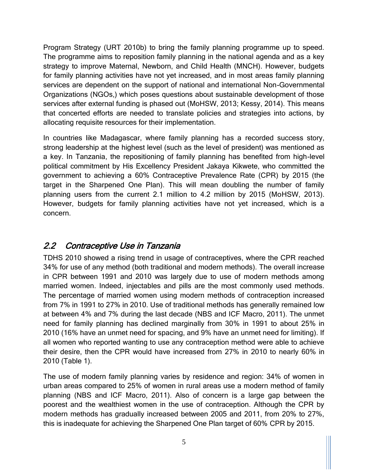Program Strategy (URT 2010b) to bring the family planning programme up to speed. The programme aims to reposition family planning in the national agenda and as a key strategy to improve Maternal, Newborn, and Child Health (MNCH). However, budgets for family planning activities have not yet increased, and in most areas family planning services are dependent on the support of national and international Non-Governmental Organizations (NGOs,) which poses questions about sustainable development of those services after external funding is phased out (MoHSW, 2013; Kessy, 2014). This means that concerted efforts are needed to translate policies and strategies into actions, by allocating requisite resources for their implementation.

In countries like Madagascar, where family planning has a recorded success story, strong leadership at the highest level (such as the level of president) was mentioned as a key. In Tanzania, the repositioning of family planning has benefited from high-level political commitment by His Excellency President Jakaya Kikwete, who committed the government to achieving a 60% Contraceptive Prevalence Rate (CPR) by 2015 (the target in the Sharpened One Plan). This will mean doubling the number of family planning users from the current 2.1 million to 4.2 million by 2015 (MoHSW, 2013). However, budgets for family planning activities have not yet increased, which is a concern.

#### <span id="page-13-0"></span>2.2 Contraceptive Use in Tanzania

TDHS 2010 showed a rising trend in usage of contraceptives, where the CPR reached 34% for use of any method (both traditional and modern methods). The overall increase in CPR between 1991 and 2010 was largely due to use of modern methods among married women. Indeed, injectables and pills are the most commonly used methods. The percentage of married women using modern methods of contraception increased from 7% in 1991 to 27% in 2010. Use of traditional methods has generally remained low at between 4% and 7% during the last decade (NBS and ICF Macro, 2011). The unmet need for family planning has declined marginally from 30% in 1991 to about 25% in 2010 (16% have an unmet need for spacing, and 9% have an unmet need for limiting). If all women who reported wanting to use any contraception method were able to achieve their desire, then the CPR would have increased from 27% in 2010 to nearly 60% in 2010 (Table 1).

The use of modern family planning varies by residence and region: 34% of women in urban areas compared to 25% of women in rural areas use a modern method of family planning (NBS and ICF Macro, 2011). Also of concern is a large gap between the poorest and the wealthiest women in the use of contraception. Although the CPR by modern methods has gradually increased between 2005 and 2011, from 20% to 27%, this is inadequate for achieving the Sharpened One Plan target of 60% CPR by 2015.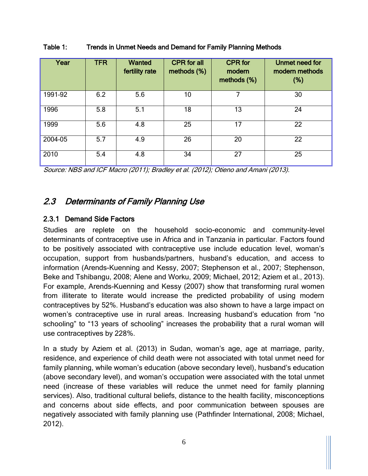| Year    | <b>TFR</b> | <b>Wanted</b><br>fertility rate | <b>CPR</b> for all<br>methods (%) | <b>CPR</b> for<br>modern<br>methods (%) | Unmet need for<br>modern methods<br>(%) |
|---------|------------|---------------------------------|-----------------------------------|-----------------------------------------|-----------------------------------------|
| 1991-92 | 6.2        | 5.6                             | 10                                |                                         | 30                                      |
| 1996    | 5.8        | 5.1                             | 18                                | 13                                      | 24                                      |
| 1999    | 5.6        | 4.8                             | 25                                | 17                                      | 22                                      |
| 2004-05 | 5.7        | 4.9                             | 26                                | 20                                      | 22                                      |
| 2010    | 5.4        | 4.8                             | 34                                | 27                                      | 25                                      |

<span id="page-14-2"></span>Table 1: Trends in Unmet Needs and Demand for Family Planning Methods

Source: NBS and ICF Macro (2011); Bradley et al. (2012); Otieno and Amani (2013).

#### <span id="page-14-0"></span>2.3 Determinants of Family Planning Use

#### <span id="page-14-1"></span>2.3.1 Demand Side Factors

Studies are replete on the household socio-economic and community-level determinants of contraceptive use in Africa and in Tanzania in particular. Factors found to be positively associated with contraceptive use include education level, woman's occupation, support from husbands/partners, husband's education, and access to information (Arends-Kuenning and Kessy, 2007; Stephenson et al., 2007; Stephenson, Beke and Tshibangu, 2008; Alene and Worku, 2009; Michael, 2012; Aziem et al., 2013). For example, Arends-Kuenning and Kessy (2007) show that transforming rural women from illiterate to literate would increase the predicted probability of using modern contraceptives by 52%. Husband's education was also shown to have a large impact on women's contraceptive use in rural areas. Increasing husband's education from "no schooling" to "13 years of schooling" increases the probability that a rural woman will use contraceptives by 228%.

In a study by Aziem et al. (2013) in Sudan, woman's age, age at marriage, parity, residence, and experience of child death were not associated with total unmet need for family planning, while woman's education (above secondary level), husband's education (above secondary level), and woman's occupation were associated with the total unmet need (increase of these variables will reduce the unmet need for family planning services). Also, traditional cultural beliefs, distance to the health facility, misconceptions and concerns about side effects, and poor communication between spouses are negatively associated with family planning use (Pathfinder International, 2008; Michael, 2012).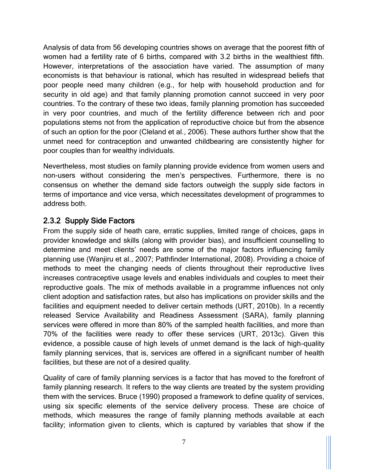Analysis of data from 56 developing countries shows on average that the poorest fifth of women had a fertility rate of 6 births, compared with 3.2 births in the wealthiest fifth. However, interpretations of the association have varied. The assumption of many economists is that behaviour is rational, which has resulted in widespread beliefs that poor people need many children (e.g., for help with household production and for security in old age) and that family planning promotion cannot succeed in very poor countries. To the contrary of these two ideas, family planning promotion has succeeded in very poor countries, and much of the fertility difference between rich and poor populations stems not from the application of reproductive choice but from the absence of such an option for the poor (Cleland et al., 2006). These authors further show that the unmet need for contraception and unwanted childbearing are consistently higher for poor couples than for wealthy individuals.

Nevertheless, most studies on family planning provide evidence from women users and non-users without considering the men's perspectives. Furthermore, there is no consensus on whether the demand side factors outweigh the supply side factors in terms of importance and vice versa, which necessitates development of programmes to address both.

#### <span id="page-15-0"></span>2.3.2 Supply Side Factors

From the supply side of heath care, erratic supplies, limited range of choices, gaps in provider knowledge and skills (along with provider bias), and insufficient counselling to determine and meet clients' needs are some of the major factors influencing family planning use (Wanjiru et al., 2007; Pathfinder International, 2008). Providing a choice of methods to meet the changing needs of clients throughout their reproductive lives increases contraceptive usage levels and enables individuals and couples to meet their reproductive goals. The mix of methods available in a programme influences not only client adoption and satisfaction rates, but also has implications on provider skills and the facilities and equipment needed to deliver certain methods (URT, 2010b). In a recently released Service Availability and Readiness Assessment (SARA), family planning services were offered in more than 80% of the sampled health facilities, and more than 70% of the facilities were ready to offer these services (URT, 2013c). Given this evidence, a possible cause of high levels of unmet demand is the lack of high-quality family planning services, that is, services are offered in a significant number of health facilities, but these are not of a desired quality.

Quality of care of family planning services is a factor that has moved to the forefront of family planning research. It refers to the way clients are treated by the system providing them with the services. Bruce (1990) proposed a framework to define quality of services, using six specific elements of the service delivery process. These are choice of methods, which measures the range of family planning methods available at each facility; information given to clients, which is captured by variables that show if the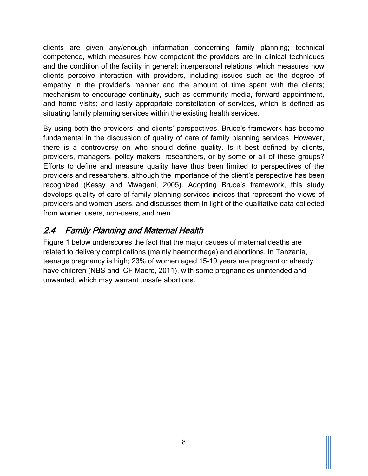clients are given any/enough information concerning family planning; technical competence, which measures how competent the providers are in clinical techniques and the condition of the facility in general; interpersonal relations, which measures how clients perceive interaction with providers, including issues such as the degree of empathy in the provider's manner and the amount of time spent with the clients; mechanism to encourage continuity, such as community media, forward appointment, and home visits; and lastly appropriate constellation of services, which is defined as situating family planning services within the existing health services.

By using both the providers' and clients' perspectives, Bruce's framework has become fundamental in the discussion of quality of care of family planning services. However, there is a controversy on who should define quality. Is it best defined by clients, providers, managers, policy makers, researchers, or by some or all of these groups? Efforts to define and measure quality have thus been limited to perspectives of the providers and researchers, although the importance of the client's perspective has been recognized (Kessy and Mwageni, 2005). Adopting Bruce's framework, this study develops quality of care of family planning services indices that represent the views of providers and women users, and discusses them in light of the qualitative data collected from women users, non-users, and men.

### <span id="page-16-0"></span>2.4 Family Planning and Maternal Health

Figure 1 below underscores the fact that the major causes of maternal deaths are related to delivery complications (mainly haemorrhage) and abortions. In Tanzania, teenage pregnancy is high; 23% of women aged 15–19 years are pregnant or already have children (NBS and ICF Macro, 2011), with some pregnancies unintended and unwanted, which may warrant unsafe abortions.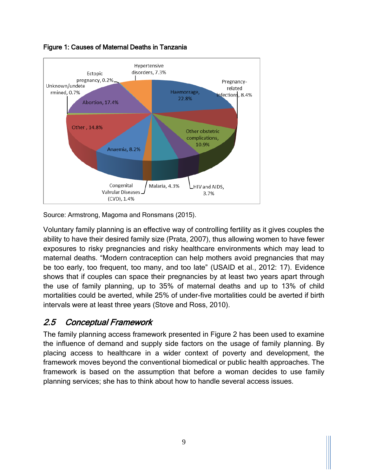

<span id="page-17-1"></span>Figure 1: Causes of Maternal Deaths in Tanzania

Source: Armstrong, Magoma and Ronsmans (2015).

Voluntary family planning is an effective way of controlling fertility as it gives couples the ability to have their desired family size (Prata, 2007), thus allowing women to have fewer exposures to risky pregnancies and risky healthcare environments which may lead to maternal deaths. "Modern contraception can help mothers avoid pregnancies that may be too early, too frequent, too many, and too late" (USAID et al., 2012: 17). Evidence shows that if couples can space their pregnancies by at least two years apart through the use of family planning, up to 35% of maternal deaths and up to 13% of child mortalities could be averted, while 25% of under-five mortalities could be averted if birth intervals were at least three years (Stove and Ross, 2010).

#### <span id="page-17-0"></span>2.5 Conceptual Framework

The family planning access framework presented in Figure 2 has been used to examine the influence of demand and supply side factors on the usage of family planning. By placing access to healthcare in a wider context of poverty and development, the framework moves beyond the conventional biomedical or public health approaches. The framework is based on the assumption that before a woman decides to use family planning services; she has to think about how to handle several access issues.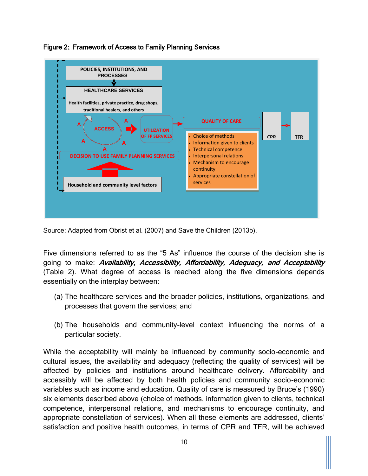

<span id="page-18-0"></span>Figure 2: Framework of Access to Family Planning Services

Source: Adapted from Obrist et al. (2007) and Save the Children (2013b).

Five dimensions referred to as the "5 As" influence the course of the decision she is going to make: Availability, Accessibility, Affordability, Adequacy, and Acceptability (Table 2). What degree of access is reached along the five dimensions depends essentially on the interplay between:

- (a) The healthcare services and the broader policies, institutions, organizations, and processes that govern the services; and
- (b) The households and community-level context influencing the norms of a particular society.

While the acceptability will mainly be influenced by community socio-economic and cultural issues, the availability and adequacy (reflecting the quality of services) will be affected by policies and institutions around healthcare delivery. Affordability and accessibly will be affected by both health policies and community socio-economic variables such as income and education. Quality of care is measured by Bruce's (1990) six elements described above (choice of methods, information given to clients, technical competence, interpersonal relations, and mechanisms to encourage continuity, and appropriate constellation of services). When all these elements are addressed, clients' satisfaction and positive health outcomes, in terms of CPR and TFR, will be achieved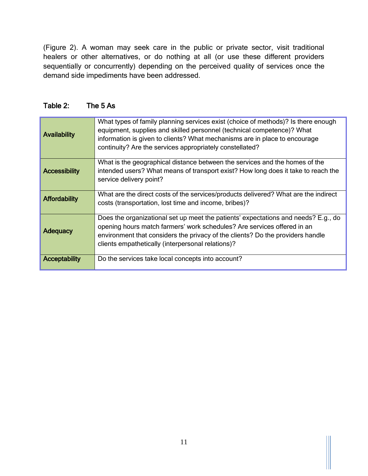(Figure 2). A woman may seek care in the public or private sector, visit traditional healers or other alternatives, or do nothing at all (or use these different providers sequentially or concurrently) depending on the perceived quality of services once the demand side impediments have been addressed.

<span id="page-19-0"></span>

| Table 2: |  | The 5 As |
|----------|--|----------|
|          |  |          |

| <b>Availability</b>  | What types of family planning services exist (choice of methods)? Is there enough<br>equipment, supplies and skilled personnel (technical competence)? What<br>information is given to clients? What mechanisms are in place to encourage<br>continuity? Are the services appropriately constellated? |
|----------------------|-------------------------------------------------------------------------------------------------------------------------------------------------------------------------------------------------------------------------------------------------------------------------------------------------------|
| <b>Accessibility</b> | What is the geographical distance between the services and the homes of the<br>intended users? What means of transport exist? How long does it take to reach the<br>service delivery point?                                                                                                           |
| <b>Affordability</b> | What are the direct costs of the services/products delivered? What are the indirect<br>costs (transportation, lost time and income, bribes)?                                                                                                                                                          |
| <b>Adequacy</b>      | Does the organizational set up meet the patients' expectations and needs? E.g., do<br>opening hours match farmers' work schedules? Are services offered in an<br>environment that considers the privacy of the clients? Do the providers handle<br>clients empathetically (interpersonal relations)?  |
| <b>Acceptability</b> | Do the services take local concepts into account?                                                                                                                                                                                                                                                     |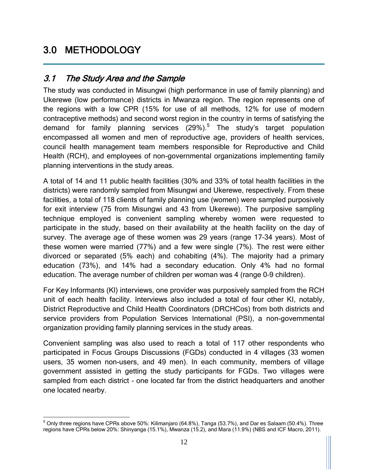## <span id="page-20-0"></span>3.0 METHODOLOGY

#### <span id="page-20-1"></span>3.1 The Study Area and the Sample

The study was conducted in Misungwi (high performance in use of family planning) and Ukerewe (low performance) districts in Mwanza region. The region represents one of the regions with a low CPR (15% for use of all methods, 12% for use of modern contraceptive methods) and second worst region in the country in terms of satisfying the demand for family planning services (29%).<sup>5</sup> The study's target population encompassed all women and men of reproductive age, providers of health services, council health management team members responsible for Reproductive and Child Health (RCH), and employees of non-governmental organizations implementing family planning interventions in the study areas.

A total of 14 and 11 public health facilities (30% and 33% of total health facilities in the districts) were randomly sampled from Misungwi and Ukerewe, respectively. From these facilities, a total of 118 clients of family planning use (women) were sampled purposively for exit interview (75 from Misungwi and 43 from Ukerewe). The purposive sampling technique employed is convenient sampling whereby women were requested to participate in the study, based on their availability at the health facility on the day of survey. The average age of these women was 29 years (range 17–34 years). Most of these women were married (77%) and a few were single (7%). The rest were either divorced or separated (5% each) and cohabiting (4%). The majority had a primary education (73%), and 14% had a secondary education. Only 4% had no formal education. The average number of children per woman was 4 (range 0–9 children).

For Key Informants (KI) interviews, one provider was purposively sampled from the RCH unit of each health facility. Interviews also included a total of four other KI, notably, District Reproductive and Child Health Coordinators (DRCHCos) from both districts and service providers from Population Services International (PSI), a non-governmental organization providing family planning services in the study areas.

Convenient sampling was also used to reach a total of 117 other respondents who participated in Focus Groups Discussions (FGDs) conducted in 4 villages (33 women users, 35 women non-users, and 49 men). In each community, members of village government assisted in getting the study participants for FGDs. Two villages were sampled from each district – one located far from the district headquarters and another one located nearby.

 $\overline{a}$  $^5$  Only three regions have CPRs above 50%: Kilimanjaro (64.8%), Tanga (53.7%), and Dar es Salaam (50.4%). Three regions have CPRs below 20%: Shinyanga (15.1%), Mwanza (15.2), and Mara (11.9%) (NBS and ICF Macro, 2011).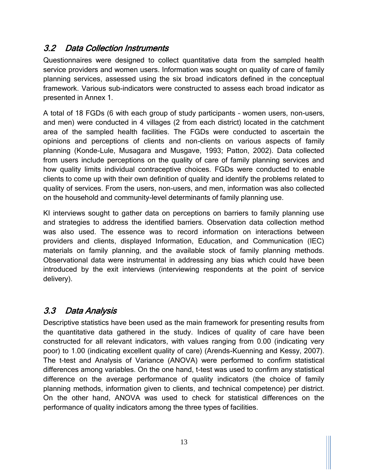#### <span id="page-21-0"></span>3.2 Data Collection Instruments

Questionnaires were designed to collect quantitative data from the sampled health service providers and women users. Information was sought on quality of care of family planning services, assessed using the six broad indicators defined in the conceptual framework. Various sub-indicators were constructed to assess each broad indicator as presented in Annex 1.

A total of 18 FGDs (6 with each group of study participants – women users, non-users, and men) were conducted in 4 villages (2 from each district) located in the catchment area of the sampled health facilities. The FGDs were conducted to ascertain the opinions and perceptions of clients and non-clients on various aspects of family planning (Konde-Lule, Musagara and Musgave, 1993; Patton, 2002). Data collected from users include perceptions on the quality of care of family planning services and how quality limits individual contraceptive choices. FGDs were conducted to enable clients to come up with their own definition of quality and identify the problems related to quality of services. From the users, non-users, and men, information was also collected on the household and community-level determinants of family planning use.

KI interviews sought to gather data on perceptions on barriers to family planning use and strategies to address the identified barriers. Observation data collection method was also used. The essence was to record information on interactions between providers and clients, displayed Information, Education, and Communication (IEC) materials on family planning, and the available stock of family planning methods. Observational data were instrumental in addressing any bias which could have been introduced by the exit interviews (interviewing respondents at the point of service delivery).

#### <span id="page-21-1"></span>3.3 Data Analysis

Descriptive statistics have been used as the main framework for presenting results from the quantitative data gathered in the study. Indices of quality of care have been constructed for all relevant indicators, with values ranging from 0.00 (indicating very poor) to 1.00 (indicating excellent quality of care) (Arends-Kuenning and Kessy, 2007). The t-test and Analysis of Variance (ANOVA) were performed to confirm statistical differences among variables. On the one hand, t-test was used to confirm any statistical difference on the average performance of quality indicators (the choice of family planning methods, information given to clients, and technical competence) per district. On the other hand, ANOVA was used to check for statistical differences on the performance of quality indicators among the three types of facilities.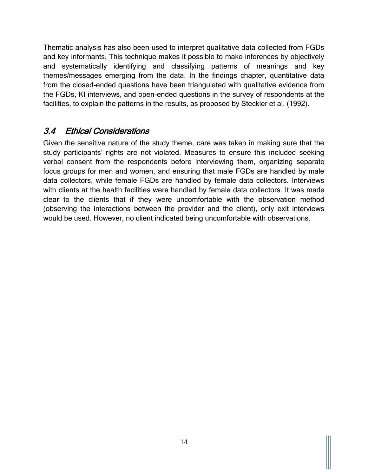Thematic analysis has also been used to interpret qualitative data collected from FGDs and key informants. This technique makes it possible to make inferences by objectively and systematically identifying and classifying patterns of meanings and key themes/messages emerging from the data. In the findings chapter, quantitative data from the closed-ended questions have been triangulated with qualitative evidence from the FGDs, KI interviews, and open-ended questions in the survey of respondents at the facilities, to explain the patterns in the results, as proposed by Steckler et al. (1992).

#### <span id="page-22-0"></span>3.4 Ethical Considerations

Given the sensitive nature of the study theme, care was taken in making sure that the study participants' rights are not violated. Measures to ensure this included seeking verbal consent from the respondents before interviewing them, organizing separate focus groups for men and women, and ensuring that male FGDs are handled by male data collectors, while female FGDs are handled by female data collectors. Interviews with clients at the health facilities were handled by female data collectors. It was made clear to the clients that if they were uncomfortable with the observation method (observing the interactions between the provider and the client), only exit interviews would be used. However, no client indicated being uncomfortable with observations.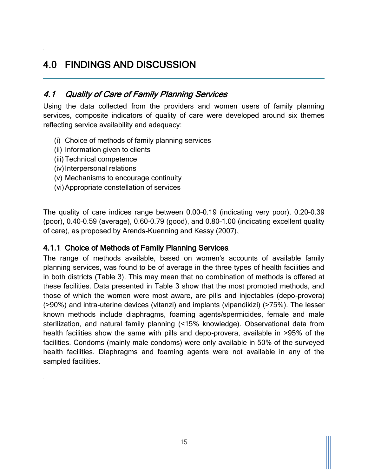### <span id="page-23-0"></span>4.0 FINDINGS AND DISCUSSION

#### <span id="page-23-1"></span>4.1 Quality of Care of Family Planning Services

Using the data collected from the providers and women users of family planning services, composite indicators of quality of care were developed around six themes reflecting service availability and adequacy:

- (i) Choice of methods of family planning services
- (ii) Information given to clients
- (iii)Technical competence
- (iv) Interpersonal relations
- (v) Mechanisms to encourage continuity
- (vi)Appropriate constellation of services

The quality of care indices range between 0.00–0.19 (indicating very poor), 0.20–0.39 (poor), 0.40–0.59 (average), 0.60–0.79 (good), and 0.80–1.00 (indicating excellent quality of care), as proposed by Arends-Kuenning and Kessy (2007).

#### <span id="page-23-2"></span>4.1.1 Choice of Methods of Family Planning Services

The range of methods available, based on women's accounts of available family planning services, was found to be of average in the three types of health facilities and in both districts (Table 3). This may mean that no combination of methods is offered at these facilities. Data presented in Table 3 show that the most promoted methods, and those of which the women were most aware, are pills and injectables (depo-provera) (>90%) and intra-uterine devices (vitanzi) and implants (vipandikizi) (>75%). The lesser known methods include diaphragms, foaming agents/spermicides, female and male sterilization, and natural family planning (<15% knowledge). Observational data from health facilities show the same with pills and depo-provera, available in >95% of the facilities. Condoms (mainly male condoms) were only available in 50% of the surveyed health facilities. Diaphragms and foaming agents were not available in any of the sampled facilities.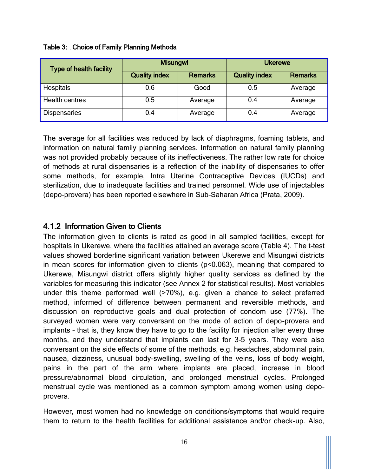| <b>Type of health facility</b> | <b>Misungwi</b>      |                | <b>Ukerewe</b>       |                |  |
|--------------------------------|----------------------|----------------|----------------------|----------------|--|
|                                | <b>Quality index</b> | <b>Remarks</b> | <b>Quality index</b> | <b>Remarks</b> |  |
| Hospitals                      | 0.6                  | Good           | 0.5                  | Average        |  |
| <b>Health centres</b>          | 0.5                  | Average        | 0.4                  | Average        |  |
| <b>Dispensaries</b>            | 0.4                  | Average        | 0.4                  | Average        |  |

#### <span id="page-24-1"></span>Table 3: Choice of Family Planning Methods

The average for all facilities was reduced by lack of diaphragms, foaming tablets, and information on natural family planning services. Information on natural family planning was not provided probably because of its ineffectiveness. The rather low rate for choice of methods at rural dispensaries is a reflection of the inability of dispensaries to offer some methods, for example, Intra Uterine Contraceptive Devices (IUCDs) and sterilization, due to inadequate facilities and trained personnel. Wide use of injectables (depo-provera) has been reported elsewhere in Sub-Saharan Africa (Prata, 2009).

#### <span id="page-24-0"></span>4.1.2 Information Given to Clients

The information given to clients is rated as good in all sampled facilities, except for hospitals in Ukerewe, where the facilities attained an average score (Table 4). The t-test values showed borderline significant variation between Ukerewe and Misungwi districts in mean scores for information given to clients (p<0.063), meaning that compared to Ukerewe, Misungwi district offers slightly higher quality services as defined by the variables for measuring this indicator (see Annex 2 for statistical results). Most variables under this theme performed well (>70%), e.g. given a chance to select preferred method, informed of difference between permanent and reversible methods, and discussion on reproductive goals and dual protection of condom use (77%). The surveyed women were very conversant on the mode of action of depo-provera and implants – that is, they know they have to go to the facility for injection after every three months, and they understand that implants can last for 3–5 years. They were also conversant on the side effects of some of the methods, e.g. headaches, abdominal pain, nausea, dizziness, unusual body-swelling, swelling of the veins, loss of body weight, pains in the part of the arm where implants are placed, increase in blood pressure/abnormal blood circulation, and prolonged menstrual cycles. Prolonged menstrual cycle was mentioned as a common symptom among women using depoprovera.

However, most women had no knowledge on conditions/symptoms that would require them to return to the health facilities for additional assistance and/or check-up. Also,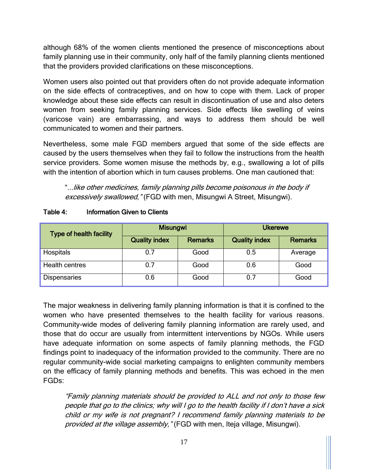although 68% of the women clients mentioned the presence of misconceptions about family planning use in their community, only half of the family planning clients mentioned that the providers provided clarifications on these misconceptions.

Women users also pointed out that providers often do not provide adequate information on the side effects of contraceptives, and on how to cope with them. Lack of proper knowledge about these side effects can result in discontinuation of use and also deters women from seeking family planning services. Side effects like swelling of veins (varicose vain) are embarrassing, and ways to address them should be well communicated to women and their partners.

Nevertheless, some male FGD members argued that some of the side effects are caused by the users themselves when they fail to follow the instructions from the health service providers. Some women misuse the methods by, e.g., swallowing a lot of pills with the intention of abortion which in turn causes problems. One man cautioned that:

"...like other medicines, family planning pills become poisonous in the body if excessively swallowed," (FGD with men, Misungwi A Street, Misungwi).

| <b>Type of health facility</b> | <b>Misungwi</b>      |                | <b>Ukerewe</b>       |                |  |
|--------------------------------|----------------------|----------------|----------------------|----------------|--|
|                                | <b>Quality index</b> | <b>Remarks</b> | <b>Quality index</b> | <b>Remarks</b> |  |
| Hospitals                      | 0.7                  | Good           | 0.5                  | Average        |  |
| <b>Health centres</b>          | 0.7                  | Good           | 0.6                  | Good           |  |
| <b>Dispensaries</b>            | 0.6                  | Good           | 0.7                  | Good           |  |

#### <span id="page-25-0"></span>Table 4: Information Given to Clients

The major weakness in delivering family planning information is that it is confined to the women who have presented themselves to the health facility for various reasons. Community-wide modes of delivering family planning information are rarely used, and those that do occur are usually from intermittent interventions by NGOs. While users have adequate information on some aspects of family planning methods, the FGD findings point to inadequacy of the information provided to the community. There are no regular community-wide social marketing campaigns to enlighten community members on the efficacy of family planning methods and benefits. This was echoed in the men FGDs:

"Family planning materials should be provided to ALL and not only to those few people that go to the clinics; why will I go to the health facility if I don't have a sick child or my wife is not pregnant? I recommend family planning materials to be provided at the village assembly, "(FGD with men, Iteja village, Misungwi).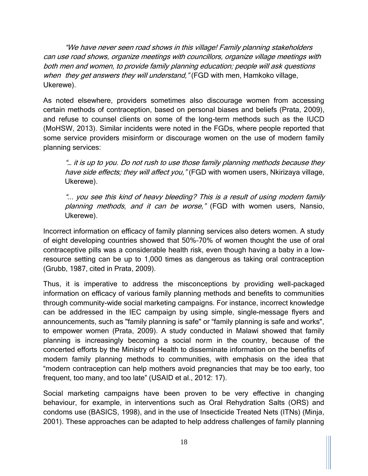"We have never seen road shows in this village! Family planning stakeholders can use road shows, organize meetings with councillors, organize village meetings with both men and women, to provide family planning education; people will ask questions when they get answers they will understand," (FGD with men, Hamkoko village, Ukerewe).

As noted elsewhere, providers sometimes also discourage women from accessing certain methods of contraception, based on personal biases and beliefs (Prata, 2009), and refuse to counsel clients on some of the long-term methods such as the IUCD (MoHSW, 2013). Similar incidents were noted in the FGDs, where people reported that some service providers misinform or discourage women on the use of modern family planning services:

"… it is up to you. Do not rush to use those family planning methods because they have side effects; they will affect you," (FGD with women users, Nkirizaya village, Ukerewe).

"... you see this kind of heavy bleeding? This is a result of using modern family planning methods, and it can be worse," (FGD with women users, Nansio, Ukerewe).

Incorrect information on efficacy of family planning services also deters women. A study of eight developing countries showed that 50%–70% of women thought the use of oral contraceptive pills was a considerable health risk, even though having a baby in a lowresource setting can be up to 1,000 times as dangerous as taking oral contraception (Grubb, 1987, cited in Prata, 2009).

Thus, it is imperative to address the misconceptions by providing well-packaged information on efficacy of various family planning methods and benefits to communities through community-wide social marketing campaigns. For instance, incorrect knowledge can be addressed in the IEC campaign by using simple, single-message flyers and announcements, such as "family planning is safe" or "family planning is safe and works", to empower women (Prata, 2009). A study conducted in Malawi showed that family planning is increasingly becoming a social norm in the country, because of the concerted efforts by the Ministry of Health to disseminate information on the benefits of modern family planning methods to communities, with emphasis on the idea that "modern contraception can help mothers avoid pregnancies that may be too early, too frequent, too many, and too late" (USAID et al., 2012: 17).

Social marketing campaigns have been proven to be very effective in changing behaviour, for example, in interventions such as Oral Rehydration Salts (ORS) and condoms use (BASICS, 1998), and in the use of Insecticide Treated Nets (ITNs) (Minja, 2001). These approaches can be adapted to help address challenges of family planning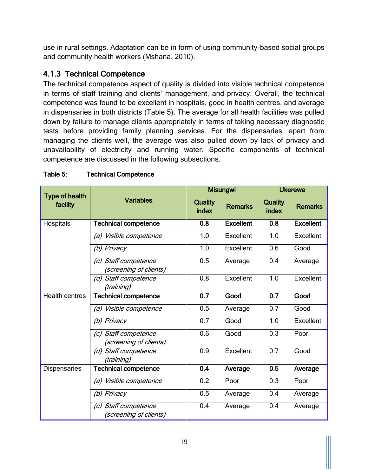use in rural settings. Adaptation can be in form of using community-based social groups and community health workers (Mshana, 2010).

#### <span id="page-27-0"></span>4.1.3 Technical Competence

The technical competence aspect of quality is divided into visible technical competence in terms of staff training and clients' management, and privacy. Overall, the technical competence was found to be excellent in hospitals, good in health centres, and average in dispensaries in both districts (Table 5). The average for all health facilities was pulled down by failure to manage clients appropriately in terms of taking necessary diagnostic tests before providing family planning services. For the dispensaries, apart from managing the clients well, the average was also pulled down by lack of privacy and unavailability of electricity and running water. Specific components of technical competence are discussed in the following subsections.

| <b>Type of health</b> |                                                                 |                         | <b>Misungwi</b>  | <b>Ukerewe</b>          |                  |
|-----------------------|-----------------------------------------------------------------|-------------------------|------------------|-------------------------|------------------|
| facility              | <b>Variables</b>                                                | <b>Quality</b><br>index | <b>Remarks</b>   | <b>Quality</b><br>index | <b>Remarks</b>   |
| Hospitals             | <b>Technical competence</b>                                     | 0.8                     | <b>Excellent</b> | 0.8                     | <b>Excellent</b> |
|                       | Visible competence<br>(a)                                       | 1.0                     | Excellent        | 1.0                     | Excellent        |
|                       | (b) Privacy                                                     | 1.0                     | Excellent        | 0.6                     | Good             |
|                       | (c) Staff competence<br>(screening of clients)                  | 0.5                     | Average          | 0.4                     | Average          |
|                       | (d) Staff competence<br>(training)                              | 0.8                     | Excellent        | 1.0                     | Excellent        |
| <b>Health centres</b> | <b>Technical competence</b>                                     | 0.7                     | Good             | $\overline{0.7}$        | Good             |
|                       | Visible competence<br>(a)                                       | 0.5                     | Average          | 0.7                     | Good             |
|                       | Privacy<br>(b)                                                  | $\overline{0.7}$        | Good             | 1.0                     | Excellent        |
|                       | Staff competence<br>$\left( c\right)$<br>(screening of clients) | 0.6                     | Good             | 0.3                     | Poor             |
|                       | Staff competence<br>(d)<br>(training)                           | 0.9                     | Excellent        | 0.7                     | Good             |
| <b>Dispensaries</b>   | <b>Technical competence</b>                                     | 0.4                     | Average          | 0.5                     | Average          |
|                       | (a) Visible competence                                          | 0.2                     | Poor             | 0.3                     | Poor             |
|                       | (b) Privacy                                                     | 0.5                     | Average          | 0.4                     | Average          |
|                       | (c) Staff competence<br>(screening of clients)                  | 0.4                     | Average          | 0.4                     | Average          |

#### <span id="page-27-1"></span>Table 5: Technical Competence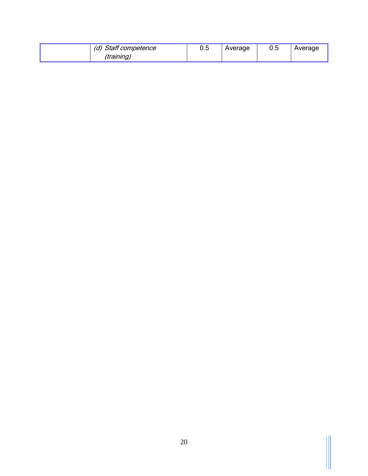| Staff competence<br>(a) | ħ<br>v.u | Average | U.5 | Average |
|-------------------------|----------|---------|-----|---------|
| (training)              |          |         |     |         |

 $\mathbb{H}$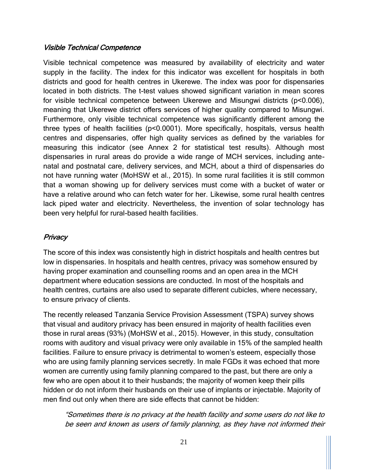#### Visible Technical Competence

Visible technical competence was measured by availability of electricity and water supply in the facility. The index for this indicator was excellent for hospitals in both districts and good for health centres in Ukerewe. The index was poor for dispensaries located in both districts. The t-test values showed significant variation in mean scores for visible technical competence between Ukerewe and Misungwi districts (p<0.006), meaning that Ukerewe district offers services of higher quality compared to Misungwi. Furthermore, only visible technical competence was significantly different among the three types of health facilities (p<0.0001). More specifically, hospitals, versus health centres and dispensaries, offer high quality services as defined by the variables for measuring this indicator (see Annex 2 for statistical test results). Although most dispensaries in rural areas do provide a wide range of MCH services, including antenatal and postnatal care, delivery services, and MCH, about a third of dispensaries do not have running water (MoHSW et al., 2015). In some rural facilities it is still common that a woman showing up for delivery services must come with a bucket of water or have a relative around who can fetch water for her. Likewise, some rural health centres lack piped water and electricity. Nevertheless, the invention of solar technology has been very helpful for rural-based health facilities.

#### **Privacy**

The score of this index was consistently high in district hospitals and health centres but low in dispensaries. In hospitals and health centres, privacy was somehow ensured by having proper examination and counselling rooms and an open area in the MCH department where education sessions are conducted. In most of the hospitals and health centres, curtains are also used to separate different cubicles, where necessary, to ensure privacy of clients.

The recently released Tanzania Service Provision Assessment (TSPA) survey shows that visual and auditory privacy has been ensured in majority of health facilities even those in rural areas (93%) (MoHSW et al., 2015). However, in this study, consultation rooms with auditory and visual privacy were only available in 15% of the sampled health facilities. Failure to ensure privacy is detrimental to women's esteem, especially those who are using family planning services secretly. In male FGDs it was echoed that more women are currently using family planning compared to the past, but there are only a few who are open about it to their husbands; the majority of women keep their pills hidden or do not inform their husbands on their use of implants or injectable. Majority of men find out only when there are side effects that cannot be hidden:

"Sometimes there is no privacy at the health facility and some users do not like to be seen and known as users of family planning, as they have not informed their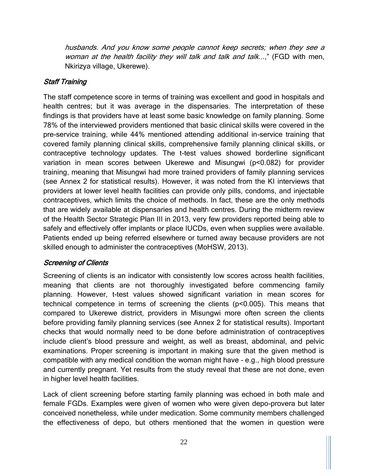husbands. And you know some people cannot keep secrets; when they see a woman at the health facility they will talk and talk and talk...," (FGD with men, Nkirizya village, Ukerewe).

#### Staff Training

The staff competence score in terms of training was excellent and good in hospitals and health centres; but it was average in the dispensaries. The interpretation of these findings is that providers have at least some basic knowledge on family planning. Some 78% of the interviewed providers mentioned that basic clinical skills were covered in the pre-service training, while 44% mentioned attending additional in-service training that covered family planning clinical skills, comprehensive family planning clinical skills, or contraceptive technology updates. The t-test values showed borderline significant variation in mean scores between Ukerewe and Misungwi (p<0.082) for provider training, meaning that Misungwi had more trained providers of family planning services (see Annex 2 for statistical results). However, it was noted from the KI interviews that providers at lower level health facilities can provide only pills, condoms, and injectable contraceptives, which limits the choice of methods. In fact, these are the only methods that are widely available at dispensaries and health centres. During the midterm review of the Health Sector Strategic Plan III in 2013, very few providers reported being able to safely and effectively offer implants or place IUCDs, even when supplies were available. Patients ended up being referred elsewhere or turned away because providers are not skilled enough to administer the contraceptives (MoHSW, 2013).

#### Screening of Clients

Screening of clients is an indicator with consistently low scores across health facilities, meaning that clients are not thoroughly investigated before commencing family planning. However, t-test values showed significant variation in mean scores for technical competence in terms of screening the clients (p<0.005). This means that compared to Ukerewe district, providers in Misungwi more often screen the clients before providing family planning services (see Annex 2 for statistical results). Important checks that would normally need to be done before administration of contraceptives include client's blood pressure and weight, as well as breast, abdominal, and pelvic examinations. Proper screening is important in making sure that the given method is compatible with any medical condition the woman might have – e.g., high blood pressure and currently pregnant. Yet results from the study reveal that these are not done, even in higher level health facilities.

Lack of client screening before starting family planning was echoed in both male and female FGDs. Examples were given of women who were given depo-provera but later conceived nonetheless, while under medication. Some community members challenged the effectiveness of depo, but others mentioned that the women in question were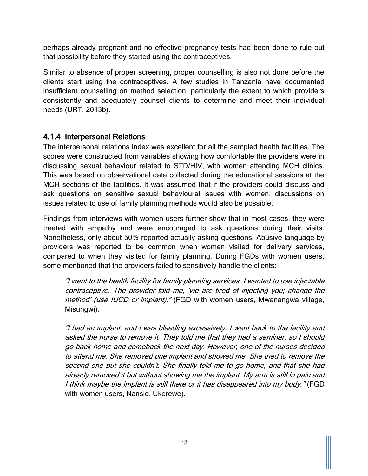perhaps already pregnant and no effective pregnancy tests had been done to rule out that possibility before they started using the contraceptives.

Similar to absence of proper screening, proper counselling is also not done before the clients start using the contraceptives. A few studies in Tanzania have documented insufficient counselling on method selection, particularly the extent to which providers consistently and adequately counsel clients to determine and meet their individual needs (URT, 2013b).

#### <span id="page-31-0"></span>4.1.4 Interpersonal Relations

The interpersonal relations index was excellent for all the sampled health facilities. The scores were constructed from variables showing how comfortable the providers were in discussing sexual behaviour related to STD/HIV, with women attending MCH clinics. This was based on observational data collected during the educational sessions at the MCH sections of the facilities. It was assumed that if the providers could discuss and ask questions on sensitive sexual behavioural issues with women, discussions on issues related to use of family planning methods would also be possible.

Findings from interviews with women users further show that in most cases, they were treated with empathy and were encouraged to ask questions during their visits. Nonetheless, only about 50% reported actually asking questions. Abusive language by providers was reported to be common when women visited for delivery services, compared to when they visited for family planning. During FGDs with women users, some mentioned that the providers failed to sensitively handle the clients:

"I went to the health facility for family planning services. I wanted to use injectable contraceptive. The provider told me, 'we are tired of injecting you; change the method' (use IUCD or implant)," (FGD with women users, Mwanangwa village, Misungwi).

"I had an implant, and I was bleeding excessively; I went back to the facility and asked the nurse to remove it. They told me that they had a seminar, so I should go back home and comeback the next day. However, one of the nurses decided to attend me. She removed one implant and showed me. She tried to remove the second one but she couldn't. She finally told me to go home, and that she had already removed it but without showing me the implant. My arm is still in pain and I think maybe the implant is still there or it has disappeared into my body," (FGD with women users, Nansio, Ukerewe).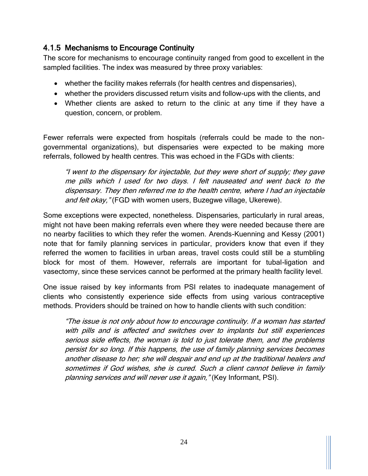#### <span id="page-32-0"></span>4.1.5 Mechanisms to Encourage Continuity

The score for mechanisms to encourage continuity ranged from good to excellent in the sampled facilities. The index was measured by three proxy variables:

- whether the facility makes referrals (for health centres and dispensaries),
- whether the providers discussed return visits and follow-ups with the clients, and
- Whether clients are asked to return to the clinic at any time if they have a question, concern, or problem.

Fewer referrals were expected from hospitals (referrals could be made to the nongovernmental organizations), but dispensaries were expected to be making more referrals, followed by health centres. This was echoed in the FGDs with clients:

"I went to the dispensary for injectable, but they were short of supply; they gave me pills which I used for two days. I felt nauseated and went back to the dispensary. They then referred me to the health centre, where I had an injectable and felt okay," (FGD with women users, Buzegwe village, Ukerewe).

Some exceptions were expected, nonetheless. Dispensaries, particularly in rural areas, might not have been making referrals even where they were needed because there are no nearby facilities to which they refer the women. Arends-Kuenning and Kessy (2001) note that for family planning services in particular, providers know that even if they referred the women to facilities in urban areas, travel costs could still be a stumbling block for most of them. However, referrals are important for tubal-ligation and vasectomy, since these services cannot be performed at the primary health facility level.

One issue raised by key informants from PSI relates to inadequate management of clients who consistently experience side effects from using various contraceptive methods. Providers should be trained on how to handle clients with such condition:

"The issue is not only about how to encourage continuity. If a woman has started with pills and is affected and switches over to implants but still experiences serious side effects, the woman is told to just tolerate them, and the problems persist for so long. If this happens, the use of family planning services becomes another disease to her; she will despair and end up at the traditional healers and sometimes if God wishes, she is cured. Such a client cannot believe in family planning services and will never use it again," (Key Informant, PSI).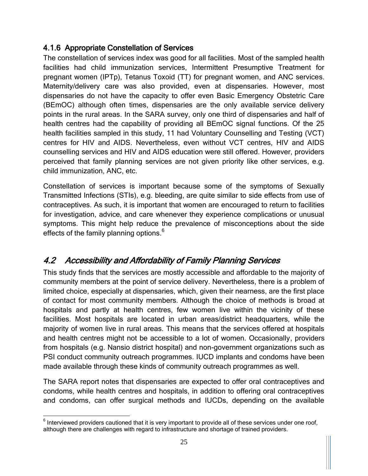#### <span id="page-33-0"></span>4.1.6 Appropriate Constellation of Services

The constellation of services index was good for all facilities. Most of the sampled health facilities had child immunization services, Intermittent Presumptive Treatment for pregnant women (IPTp), Tetanus Toxoid (TT) for pregnant women, and ANC services. Maternity/delivery care was also provided, even at dispensaries. However, most dispensaries do not have the capacity to offer even Basic Emergency Obstetric Care (BEmOC) although often times, dispensaries are the only available service delivery points in the rural areas. In the SARA survey, only one third of dispensaries and half of health centres had the capability of providing all BEmOC signal functions. Of the 25 health facilities sampled in this study, 11 had Voluntary Counselling and Testing (VCT) centres for HIV and AIDS. Nevertheless, even without VCT centres, HIV and AIDS counselling services and HIV and AIDS education were still offered. However, providers perceived that family planning services are not given priority like other services, e.g. child immunization, ANC, etc.

Constellation of services is important because some of the symptoms of Sexually Transmitted Infections (STIs), e.g. bleeding, are quite similar to side effects from use of contraceptives. As such, it is important that women are encouraged to return to facilities for investigation, advice, and care whenever they experience complications or unusual symptoms. This might help reduce the prevalence of misconceptions about the side effects of the family planning options.<sup>6</sup>

#### <span id="page-33-1"></span>4.2 Accessibility and Affordability of Family Planning Services

This study finds that the services are mostly accessible and affordable to the majority of community members at the point of service delivery. Nevertheless, there is a problem of limited choice, especially at dispensaries, which, given their nearness, are the first place of contact for most community members. Although the choice of methods is broad at hospitals and partly at health centres, few women live within the vicinity of these facilities. Most hospitals are located in urban areas/district headquarters, while the majority of women live in rural areas. This means that the services offered at hospitals and health centres might not be accessible to a lot of women. Occasionally, providers from hospitals (e.g. Nansio district hospital) and non-government organizations such as PSI conduct community outreach programmes. IUCD implants and condoms have been made available through these kinds of community outreach programmes as well.

The SARA report notes that dispensaries are expected to offer oral contraceptives and condoms, while health centres and hospitals, in addition to offering oral contraceptives and condoms, can offer surgical methods and IUCDs, depending on the available

 $\overline{\phantom{a}}$  $<sup>6</sup>$  Interviewed providers cautioned that it is very important to provide all of these services under one roof,</sup> although there are challenges with regard to infrastructure and shortage of trained providers.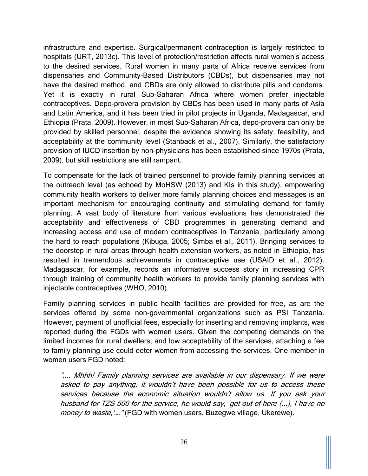infrastructure and expertise. Surgical/permanent contraception is largely restricted to hospitals (URT, 2013c). This level of protection/restriction affects rural women's access to the desired services. Rural women in many parts of Africa receive services from dispensaries and Community-Based Distributors (CBDs), but dispensaries may not have the desired method, and CBDs are only allowed to distribute pills and condoms. Yet it is exactly in rural Sub-Saharan Africa where women prefer injectable contraceptives. Depo-provera provision by CBDs has been used in many parts of Asia and Latin America, and it has been tried in pilot projects in Uganda, Madagascar, and Ethiopia (Prata, 2009). However, in most Sub-Saharan Africa, depo-provera can only be provided by skilled personnel, despite the evidence showing its safety, feasibility, and acceptability at the community level (Stanback et al., 2007). Similarly, the satisfactory provision of IUCD insertion by non-physicians has been established since 1970s (Prata, 2009), but skill restrictions are still rampant.

To compensate for the lack of trained personnel to provide family planning services at the outreach level (as echoed by MoHSW (2013) and KIs in this study), empowering community health workers to deliver more family planning choices and messages is an important mechanism for encouraging continuity and stimulating demand for family planning. A vast body of literature from various evaluations has demonstrated the acceptability and effectiveness of CBD programmes in generating demand and increasing access and use of modern contraceptives in Tanzania, particularly among the hard to reach populations (Kibuga, 2005; Simba et al., 2011). Bringing services to the doorstep in rural areas through health extension workers, as noted in Ethiopia, has resulted in tremendous achievements in contraceptive use (USAID et al., 2012). Madagascar, for example, records an informative success story in increasing CPR through training of community health workers to provide family planning services with injectable contraceptives (WHO, 2010).

Family planning services in public health facilities are provided for free, as are the services offered by some non-governmental organizations such as PSI Tanzania. However, payment of unofficial fees, especially for inserting and removing implants, was reported during the FGDs with women users. Given the competing demands on the limited incomes for rural dwellers, and low acceptability of the services, attaching a fee to family planning use could deter women from accessing the services. One member in women users FGD noted:

".... Mhhh! Family planning services are available in our dispensary. If we were asked to pay anything, it wouldn't have been possible for us to access these services because the economic situation wouldn't allow us. If you ask your husband for TZS 500 for the service, he would say, 'get out of here (...), I have no money to waste, '...." (FGD with women users, Buzegwe village, Ukerewe).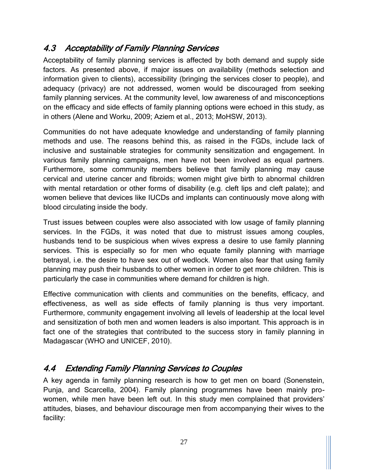#### <span id="page-35-0"></span>4.3 Acceptability of Family Planning Services

Acceptability of family planning services is affected by both demand and supply side factors. As presented above, if major issues on availability (methods selection and information given to clients), accessibility (bringing the services closer to people), and adequacy (privacy) are not addressed, women would be discouraged from seeking family planning services. At the community level, low awareness of and misconceptions on the efficacy and side effects of family planning options were echoed in this study, as in others (Alene and Worku, 2009; Aziem et al., 2013; MoHSW, 2013).

Communities do not have adequate knowledge and understanding of family planning methods and use. The reasons behind this, as raised in the FGDs, include lack of inclusive and sustainable strategies for community sensitization and engagement. In various family planning campaigns, men have not been involved as equal partners. Furthermore, some community members believe that family planning may cause cervical and uterine cancer and fibroids; women might give birth to abnormal children with mental retardation or other forms of disability (e.g. cleft lips and cleft palate); and women believe that devices like IUCDs and implants can continuously move along with blood circulating inside the body.

Trust issues between couples were also associated with low usage of family planning services. In the FGDs, it was noted that due to mistrust issues among couples, husbands tend to be suspicious when wives express a desire to use family planning services. This is especially so for men who equate family planning with marriage betrayal, i.e. the desire to have sex out of wedlock. Women also fear that using family planning may push their husbands to other women in order to get more children. This is particularly the case in communities where demand for children is high.

Effective communication with clients and communities on the benefits, efficacy, and effectiveness, as well as side effects of family planning is thus very important. Furthermore, community engagement involving all levels of leadership at the local level and sensitization of both men and women leaders is also important. This approach is in fact one of the strategies that contributed to the success story in family planning in Madagascar (WHO and UNICEF, 2010).

#### <span id="page-35-1"></span>4.4 Extending Family Planning Services to Couples

A key agenda in family planning research is how to get men on board (Sonenstein, Punja, and Scarcella, 2004). Family planning programmes have been mainly prowomen, while men have been left out. In this study men complained that providers' attitudes, biases, and behaviour discourage men from accompanying their wives to the facility: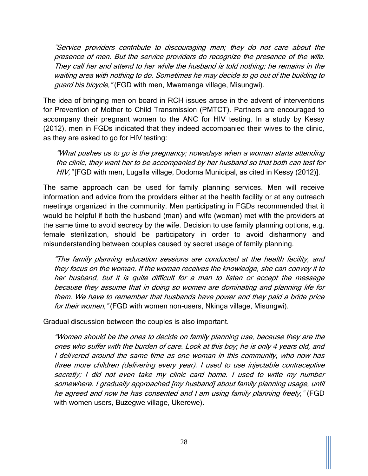"Service providers contribute to discouraging men; they do not care about the presence of men. But the service providers do recognize the presence of the wife. They call her and attend to her while the husband is told nothing; he remains in the waiting area with nothing to do. Sometimes he may decide to go out of the building to guard his bicycle, "(FGD with men, Mwamanga village, Misungwi).

The idea of bringing men on board in RCH issues arose in the advent of interventions for Prevention of Mother to Child Transmission (PMTCT). Partners are encouraged to accompany their pregnant women to the ANC for HIV testing. In a study by Kessy (2012), men in FGDs indicated that they indeed accompanied their wives to the clinic, as they are asked to go for HIV testing:

"What pushes us to go is the pregnancy; nowadays when a woman starts attending the clinic, they want her to be accompanied by her husband so that both can test for HIV, "[FGD with men, Lugalla village, Dodoma Municipal, as cited in Kessy (2012)].

The same approach can be used for family planning services. Men will receive information and advice from the providers either at the health facility or at any outreach meetings organized in the community. Men participating in FGDs recommended that it would be helpful if both the husband (man) and wife (woman) met with the providers at the same time to avoid secrecy by the wife. Decision to use family planning options, e.g. female sterilization, should be participatory in order to avoid disharmony and misunderstanding between couples caused by secret usage of family planning.

"The family planning education sessions are conducted at the health facility, and they focus on the woman. If the woman receives the knowledge, she can convey it to her husband, but it is quite difficult for a man to listen or accept the message because they assume that in doing so women are dominating and planning life for them. We have to remember that husbands have power and they paid a bride price for their women," (FGD with women non-users, Nkinga village, Misungwi).

Gradual discussion between the couples is also important.

"Women should be the ones to decide on family planning use, because they are the ones who suffer with the burden of care. Look at this boy; he is only 4 years old, and I delivered around the same time as one woman in this community, who now has three more children (delivering every year). I used to use injectable contraceptive secretly; I did not even take my clinic card home. I used to write my number somewhere. I gradually approached [my husband] about family planning usage, until he agreed and now he has consented and I am using family planning freely," (FGD with women users, Buzegwe village, Ukerewe).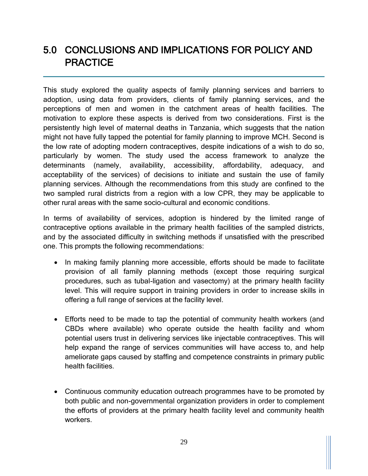## <span id="page-37-0"></span>5.0 CONCLUSIONS AND IMPLICATIONS FOR POLICY AND **PRACTICE**

This study explored the quality aspects of family planning services and barriers to adoption, using data from providers, clients of family planning services, and the perceptions of men and women in the catchment areas of health facilities. The motivation to explore these aspects is derived from two considerations. First is the persistently high level of maternal deaths in Tanzania, which suggests that the nation might not have fully tapped the potential for family planning to improve MCH. Second is the low rate of adopting modern contraceptives, despite indications of a wish to do so, particularly by women. The study used the access framework to analyze the determinants (namely, availability, accessibility, affordability, adequacy, and acceptability of the services) of decisions to initiate and sustain the use of family planning services. Although the recommendations from this study are confined to the two sampled rural districts from a region with a low CPR, they may be applicable to other rural areas with the same socio-cultural and economic conditions.

In terms of availability of services, adoption is hindered by the limited range of contraceptive options available in the primary health facilities of the sampled districts, and by the associated difficulty in switching methods if unsatisfied with the prescribed one. This prompts the following recommendations:

- In making family planning more accessible, efforts should be made to facilitate provision of all family planning methods (except those requiring surgical procedures, such as tubal-ligation and vasectomy) at the primary health facility level. This will require support in training providers in order to increase skills in offering a full range of services at the facility level.
- Efforts need to be made to tap the potential of community health workers (and CBDs where available) who operate outside the health facility and whom potential users trust in delivering services like injectable contraceptives. This will help expand the range of services communities will have access to, and help ameliorate gaps caused by staffing and competence constraints in primary public health facilities.
- Continuous community education outreach programmes have to be promoted by both public and non-governmental organization providers in order to complement the efforts of providers at the primary health facility level and community health workers.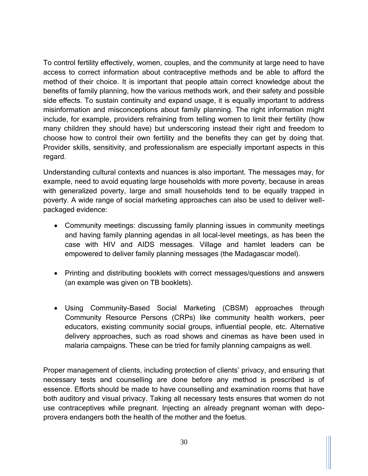To control fertility effectively, women, couples, and the community at large need to have access to correct information about contraceptive methods and be able to afford the method of their choice. It is important that people attain correct knowledge about the benefits of family planning, how the various methods work, and their safety and possible side effects. To sustain continuity and expand usage, it is equally important to address misinformation and misconceptions about family planning. The right information might include, for example, providers refraining from telling women to limit their fertility (how many children they should have) but underscoring instead their right and freedom to choose how to control their own fertility and the benefits they can get by doing that. Provider skills, sensitivity, and professionalism are especially important aspects in this regard.

Understanding cultural contexts and nuances is also important. The messages may, for example, need to avoid equating large households with more poverty, because in areas with generalized poverty, large and small households tend to be equally trapped in poverty. A wide range of social marketing approaches can also be used to deliver wellpackaged evidence:

- Community meetings: discussing family planning issues in community meetings and having family planning agendas in all local-level meetings, as has been the case with HIV and AIDS messages. Village and hamlet leaders can be empowered to deliver family planning messages (the Madagascar model).
- Printing and distributing booklets with correct messages/questions and answers (an example was given on TB booklets).
- Using Community-Based Social Marketing (CBSM) approaches through Community Resource Persons (CRPs) like community health workers, peer educators, existing community social groups, influential people, etc. Alternative delivery approaches, such as road shows and cinemas as have been used in malaria campaigns. These can be tried for family planning campaigns as well.

Proper management of clients, including protection of clients' privacy, and ensuring that necessary tests and counselling are done before any method is prescribed is of essence. Efforts should be made to have counselling and examination rooms that have both auditory and visual privacy. Taking all necessary tests ensures that women do not use contraceptives while pregnant. Injecting an already pregnant woman with depoprovera endangers both the health of the mother and the foetus.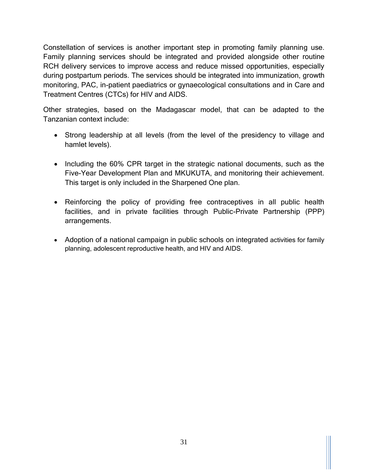Constellation of services is another important step in promoting family planning use. Family planning services should be integrated and provided alongside other routine RCH delivery services to improve access and reduce missed opportunities, especially during postpartum periods. The services should be integrated into immunization, growth monitoring, PAC, in-patient paediatrics or gynaecological consultations and in Care and Treatment Centres (CTCs) for HIV and AIDS.

Other strategies, based on the Madagascar model, that can be adapted to the Tanzanian context include:

- Strong leadership at all levels (from the level of the presidency to village and hamlet levels).
- Including the 60% CPR target in the strategic national documents, such as the Five-Year Development Plan and MKUKUTA, and monitoring their achievement. This target is only included in the Sharpened One plan.
- Reinforcing the policy of providing free contraceptives in all public health facilities, and in private facilities through Public-Private Partnership (PPP) arrangements.
- Adoption of a national campaign in public schools on integrated activities for family planning, adolescent reproductive health, and HIV and AIDS.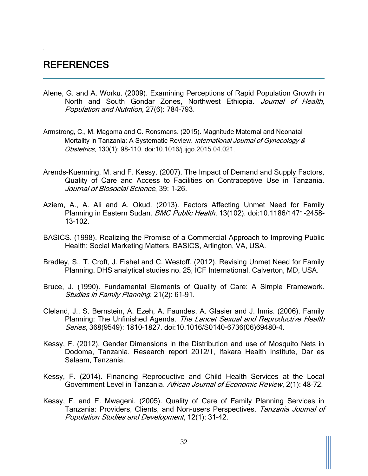#### <span id="page-40-0"></span>REFERENCES

- Alene, G. and A. Worku. (2009). Examining Perceptions of Rapid Population Growth in North and South Gondar Zones, Northwest Ethiopia. Journal of Health, Population and Nutrition, 27(6): 784–793.
- Armstrong, C., M. Magoma and C. Ronsmans. (2015). Magnitude Maternal and Neonatal Mortality in Tanzania: A Systematic Review. International Journal of Gynecology & Obstetrics, 130(1): 98–110. doi:10.1016/j.ijgo.2015.04.021.
- Arends-Kuenning, M. and F. Kessy. (2007). The Impact of Demand and Supply Factors, Quality of Care and Access to Facilities on Contraceptive Use in Tanzania. Journal of Biosocial Science, 39: 1-26.
- Aziem, A., A. Ali and A. Okud. (2013). Factors Affecting Unmet Need for Family Planning in Eastern Sudan. BMC Public Health, 13(102). doi:10.1186/1471-2458-13-102.
- BASICS. (1998). Realizing the Promise of a Commercial Approach to Improving Public Health: Social Marketing Matters. BASICS, Arlington, VA, USA.
- Bradley, S., T. Croft, J. Fishel and C. Westoff. (2012). Revising Unmet Need for Family Planning. DHS analytical studies no. 25, ICF International, Calverton, MD, USA.
- Bruce, J. (1990). Fundamental Elements of Quality of Care: A Simple Framework. Studies in Family Planning, 21(2): 61-91.
- Cleland, J., S. Bernstein, A. Ezeh, A. Faundes, A. Glasier and J. Innis. (2006). Family Planning: The Unfinished Agenda. The Lancet Sexual and Reproductive Health Series, 368(9549): 1810-1827. doi:10.1016/S0140-6736(06)69480-4.
- Kessy, F. (2012). Gender Dimensions in the Distribution and use of Mosquito Nets in Dodoma, Tanzania. Research report 2012/1, Ifakara Health Institute, Dar es Salaam, Tanzania.
- Kessy, F. (2014). Financing Reproductive and Child Health Services at the Local Government Level in Tanzania. African Journal of Economic Review, 2(1): 48-72.
- Kessy, F. and E. Mwageni. (2005). Quality of Care of Family Planning Services in Tanzania: Providers, Clients, and Non-users Perspectives. Tanzania Journal of Population Studies and Development, 12(1): 31–42.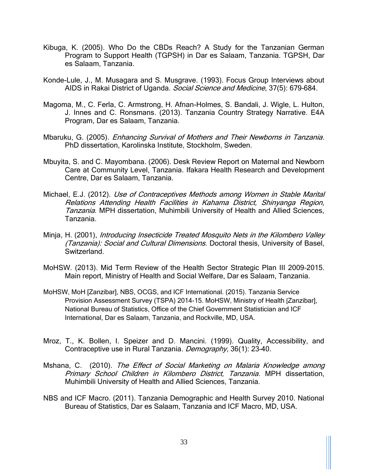- Kibuga, K. (2005). Who Do the CBDs Reach? A Study for the Tanzanian German Program to Support Health (TGPSH) in Dar es Salaam, Tanzania. TGPSH, Dar es Salaam, Tanzania.
- Konde-Lule, J., M. Musagara and S. Musgrave. (1993). Focus Group Interviews about AIDS in Rakai District of Uganda. Social Science and Medicine, 37(5): 679-684.
- Magoma, M., C. Ferla, C. Armstrong, H. Afnan-Holmes, S. Bandali, J. Wigle, L. Hulton, J. Innes and C. Ronsmans. (2013). Tanzania Country Strategy Narrative. E4A Program, Dar es Salaam, Tanzania.
- Mbaruku, G. (2005). Enhancing Survival of Mothers and Their Newborns in Tanzania. PhD dissertation, Karolinska Institute, Stockholm, Sweden.
- Mbuyita, S. and C. Mayombana. (2006). Desk Review Report on Maternal and Newborn Care at Community Level, Tanzania. Ifakara Health Research and Development Centre, Dar es Salaam, Tanzania.
- Michael, E.J. (2012). Use of Contraceptives Methods among Women in Stable Marital Relations Attending Health Facilities in Kahama District, Shinyanga Region, Tanzania. MPH dissertation, Muhimbili University of Health and Allied Sciences, Tanzania.
- Minja, H. (2001), *Introducing Insecticide Treated Mosquito Nets in the Kilombero Valley* (Tanzania): Social and Cultural Dimensions. Doctoral thesis, University of Basel, Switzerland.
- MoHSW. (2013). Mid Term Review of the Health Sector Strategic Plan III 2009–2015. Main report, Ministry of Health and Social Welfare, Dar es Salaam, Tanzania.
- MoHSW, MoH [Zanzibar], NBS, OCGS, and ICF International. (2015). Tanzania Service Provision Assessment Survey (TSPA) 2014-15. MoHSW, Ministry of Health [Zanzibar], National Bureau of Statistics, Office of the Chief Government Statistician and ICF International, Dar es Salaam, Tanzania, and Rockville, MD, USA.
- Mroz, T., K. Bollen, I. Speizer and D. Mancini. (1999). Quality, Accessibility, and Contraceptive use in Rural Tanzania. Demography, 36(1): 23-40.
- Mshana, C. (2010). The Effect of Social Marketing on Malaria Knowledge among Primary School Children in Kilombero District, Tanzania. MPH dissertation, Muhimbili University of Health and Allied Sciences, Tanzania.
- NBS and ICF Macro. (2011). Tanzania Demographic and Health Survey 2010. National Bureau of Statistics, Dar es Salaam, Tanzania and ICF Macro, MD, USA.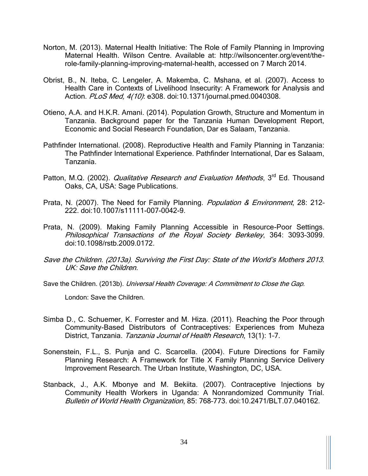- Norton, M. (2013). Maternal Health Initiative: The Role of Family Planning in Improving Maternal Health. Wilson Centre. Available at: http://wilsoncenter.org/event/therole-family-planning-improving-maternal-health, accessed on 7 March 2014.
- Obrist, B., N. Iteba, C. Lengeler, A. Makemba, C. Mshana, et al. (2007). Access to Health Care in Contexts of Livelihood Insecurity: A Framework for Analysis and Action. PLoS Med. 4(10): e308. doi:10.1371/journal.pmed.0040308.
- Otieno, A.A. and H.K.R. Amani. (2014). Population Growth, Structure and Momentum in Tanzania. Background paper for the Tanzania Human Development Report, Economic and Social Research Foundation, Dar es Salaam, Tanzania.
- Pathfinder International. (2008). Reproductive Health and Family Planning in Tanzania: The Pathfinder International Experience. Pathfinder International, Dar es Salaam, Tanzania.
- Patton, M.Q. (2002). Qualitative Research and Evaluation Methods, 3<sup>rd</sup> Ed. Thousand Oaks, CA, USA: Sage Publications.
- Prata, N. (2007). The Need for Family Planning. Population & Environment, 28: 212-222. doi:10.1007/s11111-007-0042-9.
- Prata, N. (2009). Making Family Planning Accessible in Resource-Poor Settings. Philosophical Transactions of the Royal Society Berkeley, 364: 3093–3099. doi:10.1098/rstb.2009.0172.
- Save the Children. (2013a). Surviving the First Day: State of the World's Mothers 2013. UK: Save the Children.
- Save the Children. (2013b). Universal Health Coverage: A Commitment to Close the Gap.

London: Save the Children.

- Simba D., C. Schuemer, K. Forrester and M. Hiza. (2011). Reaching the Poor through Community-Based Distributors of Contraceptives: Experiences from Muheza District, Tanzania. Tanzania Journal of Health Research, 13(1): 1-7.
- Sonenstein, F.L., S. Punja and C. Scarcella. (2004). Future Directions for Family Planning Research: A Framework for Title X Family Planning Service Delivery Improvement Research. The Urban Institute, Washington, DC, USA.
- Stanback, J., A.K. Mbonye and M. Bekiita. (2007). Contraceptive Injections by Community Health Workers in Uganda: A Nonrandomized Community Trial. Bulletin of World Health Organization, 85: 768–773. doi:10.2471/BLT.07.040162.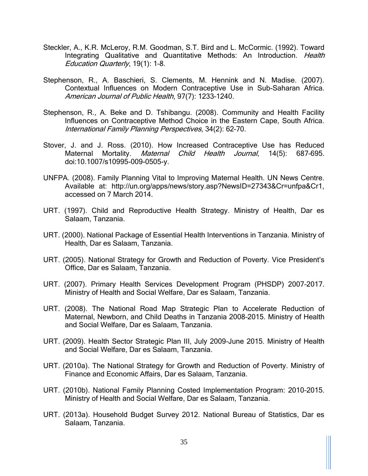- Steckler, A., K.R. McLeroy, R.M. Goodman, S.T. Bird and L. McCormic. (1992). Toward Integrating Qualitative and Quantitative Methods: An Introduction. Health Education Quarterly, 19(1): 1–8.
- Stephenson, R., A. Baschieri, S. Clements, M. Hennink and N. Madise. (2007). Contextual Influences on Modern Contraceptive Use in Sub-Saharan Africa. American Journal of Public Health, 97(7): 1233-1240.
- Stephenson, R., A. Beke and D. Tshibangu. (2008). Community and Health Facility Influences on Contraceptive Method Choice in the Eastern Cape, South Africa. International Family Planning Perspectives, 34(2): 62–70.
- Stover, J. and J. Ross. (2010). How Increased Contraceptive Use has Reduced Maternal Mortality. [Maternal Child Health](http://www.ncbi.nlm.nih.gov/pubmed/19644742) Journal, 14(5): 687-695. doi:10.1007/s10995-009-0505-y.
- UNFPA. (2008). Family Planning Vital to Improving Maternal Health. UN News Centre. Available at: http://un.org/apps/news/story.asp?NewsID=27343&Cr=unfpa&Cr1, accessed on 7 March 2014.
- URT. (1997). Child and Reproductive Health Strategy. Ministry of Health, Dar es Salaam, Tanzania.
- URT. (2000). National Package of Essential Health Interventions in Tanzania. Ministry of Health, Dar es Salaam, Tanzania.
- URT. (2005). National Strategy for Growth and Reduction of Poverty. Vice President's Office, Dar es Salaam, Tanzania.
- URT. (2007). Primary Health Services Development Program (PHSDP) 2007–2017. Ministry of Health and Social Welfare, Dar es Salaam, Tanzania.
- URT. (2008). The National Road Map Strategic Plan to Accelerate Reduction of Maternal, Newborn, and Child Deaths in Tanzania 2008–2015. Ministry of Health and Social Welfare, Dar es Salaam, Tanzania.
- URT. (2009). Health Sector Strategic Plan III, July 2009–June 2015. Ministry of Health and Social Welfare, Dar es Salaam, Tanzania.
- URT. (2010a). The National Strategy for Growth and Reduction of Poverty. Ministry of Finance and Economic Affairs, Dar es Salaam, Tanzania.
- URT. (2010b). National Family Planning Costed Implementation Program: 2010–2015. Ministry of Health and Social Welfare, Dar es Salaam, Tanzania.
- URT. (2013a). Household Budget Survey 2012. National Bureau of Statistics, Dar es Salaam, Tanzania.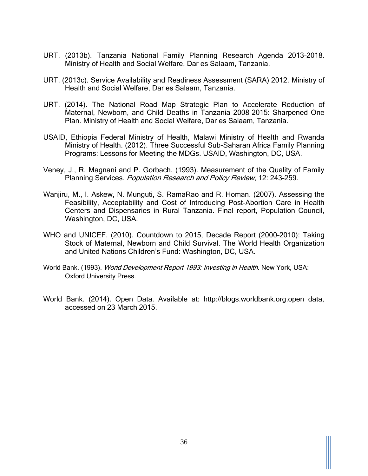- URT. (2013b). Tanzania National Family Planning Research Agenda 2013–2018. Ministry of Health and Social Welfare, Dar es Salaam, Tanzania.
- URT. (2013c). Service Availability and Readiness Assessment (SARA) 2012. Ministry of Health and Social Welfare, Dar es Salaam, Tanzania.
- URT. (2014). The National Road Map Strategic Plan to Accelerate Reduction of Maternal, Newborn, and Child Deaths in Tanzania 2008–2015: Sharpened One Plan. Ministry of Health and Social Welfare, Dar es Salaam, Tanzania.
- USAID, Ethiopia Federal Ministry of Health, Malawi Ministry of Health and Rwanda Ministry of Health. (2012). Three Successful Sub-Saharan Africa Family Planning Programs: Lessons for Meeting the MDGs. USAID, Washington, DC, USA.
- Veney, J., R. Magnani and P. Gorbach. (1993). Measurement of the Quality of Family Planning Services. Population Research and Policy Review, 12: 243-259.
- Wanjiru, M., I. Askew, N. Munguti, S. RamaRao and R. Homan. (2007). Assessing the Feasibility, Acceptability and Cost of Introducing Post-Abortion Care in Health Centers and Dispensaries in Rural Tanzania. Final report, Population Council, Washington, DC, USA.
- WHO and UNICEF. (2010). Countdown to 2015, Decade Report (2000–2010): Taking Stock of Maternal, Newborn and Child Survival. The World Health Organization and United Nations Children's Fund: Washington, DC, USA.
- World Bank. (1993). World Development Report 1993: Investing in Health. New York, USA: Oxford University Press.
- World Bank. (2014). Open Data. Available at: http://blogs.worldbank.org.open data, accessed on 23 March 2015.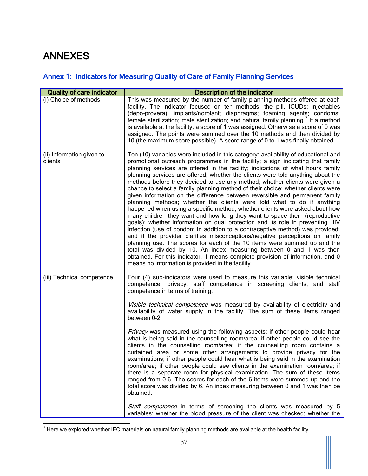## <span id="page-45-0"></span>ANNEXES

#### <span id="page-45-1"></span>Annex 1: Indicators for Measuring Quality of Care of Family Planning Services

| <b>Quality of care indicator</b>     | Description of the indicator                                                                                                                                                                                                                                                                                                                                                                                                                                                                                                                                                                                                                                                                                                                                                                                                                                                                                                                                                                                                                                                                                                                                                                                                                                                                                                                                                   |
|--------------------------------------|--------------------------------------------------------------------------------------------------------------------------------------------------------------------------------------------------------------------------------------------------------------------------------------------------------------------------------------------------------------------------------------------------------------------------------------------------------------------------------------------------------------------------------------------------------------------------------------------------------------------------------------------------------------------------------------------------------------------------------------------------------------------------------------------------------------------------------------------------------------------------------------------------------------------------------------------------------------------------------------------------------------------------------------------------------------------------------------------------------------------------------------------------------------------------------------------------------------------------------------------------------------------------------------------------------------------------------------------------------------------------------|
| (i) Choice of methods                | This was measured by the number of family planning methods offered at each<br>facility. The indicator focused on ten methods: the pill, ICUDs; injectables<br>(depo-provera); implants/norplant; diaphragms; foaming agents; condoms;<br>female sterilization; male sterilization; and natural family planning. If a method<br>is available at the facility, a score of 1 was assigned. Otherwise a score of 0 was<br>assigned. The points were summed over the 10 methods and then divided by<br>10 (the maximum score possible). A score range of 0 to 1 was finally obtained.                                                                                                                                                                                                                                                                                                                                                                                                                                                                                                                                                                                                                                                                                                                                                                                               |
| (ii) Information given to<br>clients | Ten (10) variables were included in this category: availability of educational and<br>promotional outreach programmes in the facility; a sign indicating that family<br>planning services are offered in the facility; indications of what hours family<br>planning services are offered; whether the clients were told anything about the<br>methods before they decided to use any method; whether clients were given a<br>chance to select a family planning method of their choice; whether clients were<br>given information on the difference between reversible and permanent family<br>planning methods; whether the clients were told what to do if anything<br>happened when using a specific method; whether clients were asked about how<br>many children they want and how long they want to space them (reproductive<br>goals); whether information on dual protection and its role in preventing HIV<br>infection (use of condom in addition to a contraceptive method) was provided;<br>and if the provider clarifies misconceptions/negative perceptions on family<br>planning use. The scores for each of the 10 items were summed up and the<br>total was divided by 10. An index measuring between 0 and 1 was then<br>obtained. For this indicator, 1 means complete provision of information, and 0<br>means no information is provided in the facility. |
| (iii) Technical competence           | Four (4) sub-indicators were used to measure this variable: visible technical<br>competence, privacy, staff competence in screening clients, and staff<br>competence in terms of training.<br>Visible technical competence was measured by availability of electricity and<br>availability of water supply in the facility. The sum of these items ranged<br>between 0-2.<br>Privacy was measured using the following aspects: if other people could hear<br>what is being said in the counselling room/area; if other people could see the<br>clients in the counselling room/area; if the counselling room contains a<br>curtained area or some other arrangements to provide privacy for the<br>examinations; if other people could hear what is being said in the examination<br>room/area; if other people could see clients in the examination room/area; if<br>there is a separate room for physical examination. The sum of these items<br>ranged from 0-6. The scores for each of the 6 items were summed up and the<br>total score was divided by 6. An index measuring between 0 and 1 was then be<br>obtained.<br>Staff competence in terms of screening the clients was measured by 5<br>variables: whether the blood pressure of the client was checked; whether the                                                                                             |

 $\overline{a}$  $^7$  Here we explored whether IEC materials on natural family planning methods are available at the health facility.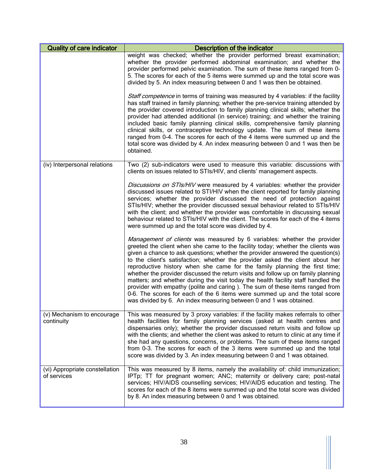| <b>Quality of care indicator</b>              | Description of the indicator                                                                                                                                                                                                                                                                                                                                                                                                                                                                                                                                                                                                                                                                                                                                                                                                      |  |  |  |  |
|-----------------------------------------------|-----------------------------------------------------------------------------------------------------------------------------------------------------------------------------------------------------------------------------------------------------------------------------------------------------------------------------------------------------------------------------------------------------------------------------------------------------------------------------------------------------------------------------------------------------------------------------------------------------------------------------------------------------------------------------------------------------------------------------------------------------------------------------------------------------------------------------------|--|--|--|--|
|                                               | weight was checked; whether the provider performed breast examination;<br>whether the provider performed abdominal examination; and whether the<br>provider performed pelvic examination. The sum of these items ranged from 0-<br>5. The scores for each of the 5 items were summed up and the total score was<br>divided by 5. An index measuring between 0 and 1 was then be obtained.                                                                                                                                                                                                                                                                                                                                                                                                                                         |  |  |  |  |
|                                               | Staff competence in terms of training was measured by 4 variables: if the facility<br>has staff trained in family planning; whether the pre-service training attended by<br>the provider covered introduction to family planning clinical skills; whether the<br>provider had attended additional (in service) training; and whether the training<br>included basic family planning clinical skills, comprehensive family planning<br>clinical skills, or contraceptive technology update. The sum of these items<br>ranged from 0-4. The scores for each of the 4 items were summed up and the<br>total score was divided by 4. An index measuring between 0 and 1 was then be<br>obtained.                                                                                                                                      |  |  |  |  |
| (iv) Interpersonal relations                  | Two (2) sub-indicators were used to measure this variable: discussions with<br>clients on issues related to STIs/HIV, and clients' management aspects.                                                                                                                                                                                                                                                                                                                                                                                                                                                                                                                                                                                                                                                                            |  |  |  |  |
|                                               | Discussions on STIs/HIV were measured by 4 variables: whether the provider<br>discussed issues related to STI/HIV when the client reported for family planning<br>services; whether the provider discussed the need of protection against<br>STIs/HIV; whether the provider discussed sexual behaviour related to STIs/HIV<br>with the client; and whether the provider was comfortable in discussing sexual<br>behaviour related to STIs/HIV with the client. The scores for each of the 4 items<br>were summed up and the total score was divided by 4.                                                                                                                                                                                                                                                                         |  |  |  |  |
|                                               | <i>Management of clients</i> was measured by 6 variables: whether the provider<br>greeted the client when she came to the facility today; whether the clients was<br>given a chance to ask questions; whether the provider answered the question(s)<br>to the client's satisfaction; whether the provider asked the client about her<br>reproductive history when she came for the family planning the first time;<br>whether the provider discussed the return visits and follow up on family planning<br>matters; and whether during the visit today the health facility staff handled the<br>provider with empathy (polite and caring). The sum of these items ranged from<br>0-6. The scores for each of the 6 items were summed up and the total score<br>was divided by 6. An index measuring between 0 and 1 was obtained. |  |  |  |  |
| (v) Mechanism to encourage<br>continuity      | This was measured by 3 proxy variables: if the facility makes referrals to other<br>health facilities for family planning services (asked at health centres and<br>dispensaries only); whether the provider discussed return visits and follow up<br>with the clients; and whether the client was asked to return to clinic at any time if<br>she had any questions, concerns, or problems. The sum of these items ranged<br>from 0-3. The scores for each of the 3 items were summed up and the total<br>score was divided by 3. An index measuring between 0 and 1 was obtained.                                                                                                                                                                                                                                                |  |  |  |  |
| (vi) Appropriate constellation<br>of services | This was measured by 8 items, namely the availability of: child immunization;<br>IPTp; TT for pregnant women; ANC; maternity or delivery care; post-natal<br>services; HIV/AIDS counselling services; HIV/AIDS education and testing. The<br>scores for each of the 8 items were summed up and the total score was divided<br>by 8. An index measuring between 0 and 1 was obtained.                                                                                                                                                                                                                                                                                                                                                                                                                                              |  |  |  |  |

 $\mathbb{H}$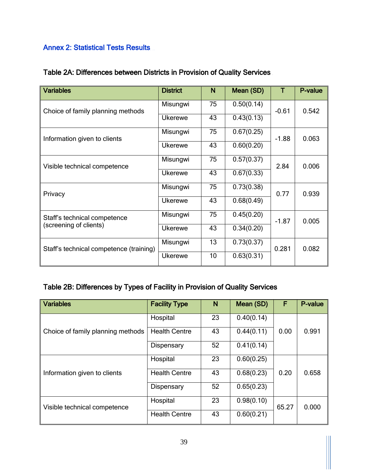#### <span id="page-47-0"></span>Annex 2: Statistical Tests Results

| <b>Variables</b>                        | <b>District</b> | N  | Mean (SD)  |         | P-value |
|-----------------------------------------|-----------------|----|------------|---------|---------|
| Choice of family planning methods       | Misungwi        | 75 | 0.50(0.14) | $-0.61$ | 0.542   |
|                                         | <b>Ukerewe</b>  | 43 | 0.43(0.13) |         |         |
| Information given to clients            | Misungwi        | 75 | 0.67(0.25) | $-1.88$ | 0.063   |
|                                         | <b>Ukerewe</b>  | 43 | 0.60(0.20) |         |         |
| Visible technical competence            | Misungwi        | 75 | 0.57(0.37) | 2.84    | 0.006   |
|                                         | <b>Ukerewe</b>  | 43 | 0.67(0.33) |         |         |
| Privacy                                 | Misungwi        | 75 | 0.73(0.38) | 0.77    | 0.939   |
|                                         | <b>Ukerewe</b>  | 43 | 0.68(0.49) |         |         |
| Staff's technical competence            | Misungwi        | 75 | 0.45(0.20) | $-1.87$ | 0.005   |
| (screening of clients)                  | Ukerewe         | 43 | 0.34(0.20) |         |         |
| Staff's technical competence (training) | Misungwi        | 13 | 0.73(0.37) | 0.281   | 0.082   |
|                                         | <b>Ukerewe</b>  | 10 | 0.63(0.31) |         |         |

#### Table 2A: Differences between Districts in Provision of Quality Services

#### Table 2B: Differences by Types of Facility in Provision of Quality Services

| <b>Variables</b>                  | <b>Facility Type</b> | N  | Mean (SD)  | F     | P-value |
|-----------------------------------|----------------------|----|------------|-------|---------|
|                                   | Hospital             | 23 | 0.40(0.14) |       |         |
| Choice of family planning methods | <b>Health Centre</b> | 43 | 0.44(0.11) | 0.00  | 0.991   |
|                                   | Dispensary           | 52 | 0.41(0.14) |       |         |
|                                   | Hospital             | 23 | 0.60(0.25) |       |         |
| Information given to clients      | <b>Health Centre</b> | 43 | 0.68(0.23) | 0.20  | 0.658   |
|                                   | Dispensary           | 52 | 0.65(0.23) |       |         |
| Visible technical competence      | Hospital             | 23 | 0.98(0.10) | 65.27 | 0.000   |
|                                   | <b>Health Centre</b> | 43 | 0.60(0.21) |       |         |